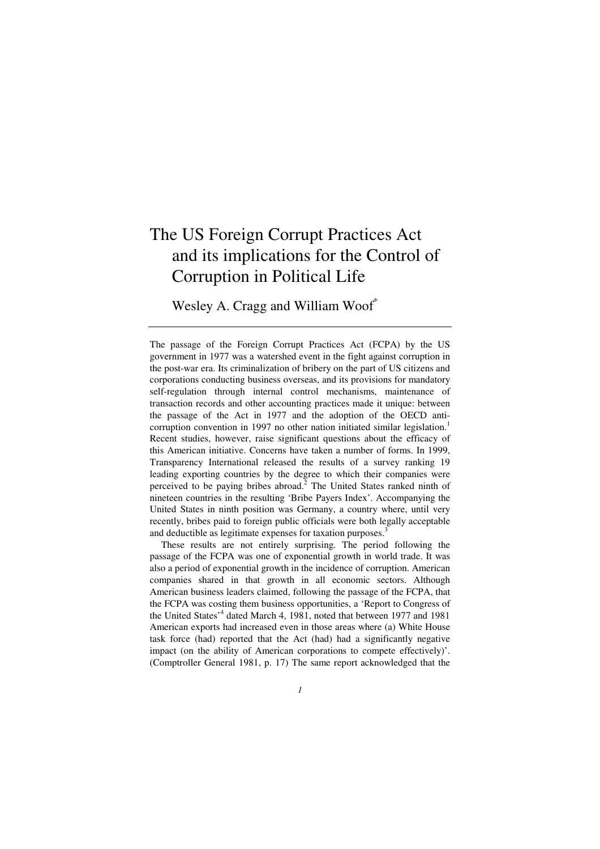# The US Foreign Corrupt Practices Act and its implications for the Control of Corruption in Political Life

Wesley A. Cragg and William Woof\*

The passage of the Foreign Corrupt Practices Act (FCPA) by the US government in 1977 was a watershed event in the fight against corruption in the post-war era. Its criminalization of bribery on the part of US citizens and corporations conducting business overseas, and its provisions for mandatory self-regulation through internal control mechanisms, maintenance of transaction records and other accounting practices made it unique: between the passage of the Act in 1977 and the adoption of the OECD anticorruption convention in 1997 no other nation initiated similar legislation. 1 Recent studies, however, raise significant questions about the efficacy of this American initiative. Concerns have taken a number of forms. In 1999, Transparency International released the results of a survey ranking 19 leading exporting countries by the degree to which their companies were perceived to be paying bribes abroad.<sup>2</sup> The United States ranked ninth of nineteen countries in the resulting 'Bribe Payers Index'. Accompanying the United States in ninth position was Germany, a country where, until very recently, bribes paid to foreign public officials were both legally acceptable and deductible as legitimate expenses for taxation purposes.<sup>3</sup>

These results are not entirely surprising. The period following the passage of the FCPA was one of exponential growth in world trade. It was also a period of exponential growth in the incidence of corruption. American companies shared in that growth in all economic sectors. Although American business leaders claimed, following the passage of the FCPA, that the FCPA was costing them business opportunities, a 'Report to Congress of the United States<sup>,4</sup> dated March 4, 1981, noted that between 1977 and 1981 American exports had increased even in those areas where (a) White House task force (had) reported that the Act (had) had a significantly negative impact (on the ability of American corporations to compete effectively)'. (Comptroller General 1981, p. 17) The same report acknowledged that the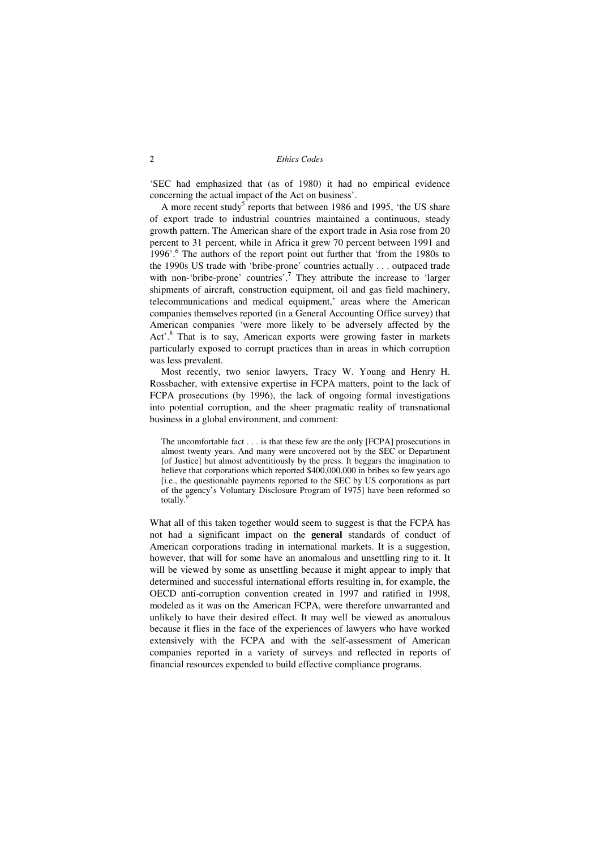'SEC had emphasized that (as of 1980) it had no empirical evidence concerning the actual impact of the Act on business'.

A more recent study<sup>5</sup> reports that between 1986 and 1995, 'the US share of export trade to industrial countries maintained a continuous, steady growth pattern. The American share of the export trade in Asia rose from 20 percent to 31 percent, while in Africa it grew 70 percent between 1991 and 1996'.<sup>6</sup> The authors of the report point out further that 'from the 1980s to the 1990s US trade with 'bribe-prone' countries actually . . . outpaced trade with non-'bribe-prone' countries'. **<sup>7</sup>** They attribute the increase to 'larger shipments of aircraft, construction equipment, oil and gas field machinery, telecommunications and medical equipment,' areas where the American companies themselves reported (in a General Accounting Office survey) that American companies 'were more likely to be adversely affected by the Act'.<sup>8</sup> That is to say, American exports were growing faster in markets particularly exposed to corrupt practices than in areas in which corruption was less prevalent.

Most recently, two senior lawyers, Tracy W. Young and Henry H. Rossbacher, with extensive expertise in FCPA matters, point to the lack of FCPA prosecutions (by 1996), the lack of ongoing formal investigations into potential corruption, and the sheer pragmatic reality of transnational business in a global environment, and comment:

The uncomfortable fact . . . is that these few are the only [FCPA] prosecutions in almost twenty years. And many were uncovered not by the SEC or Department [of Justice] but almost adventitiously by the press. It beggars the imagination to believe that corporations which reported \$400,000,000 in bribes so few years ago [i.e., the questionable payments reported to the SEC by US corporations as part of the agency's Voluntary Disclosure Program of 1975] have been reformed so<br>totally<sup>9</sup> totally.

What all of this taken together would seem to suggest is that the FCPA has not had a significant impact on the **general** standards of conduct of American corporations trading in international markets. It is a suggestion, however, that will for some have an anomalous and unsettling ring to it. It will be viewed by some as unsettling because it might appear to imply that determined and successful international efforts resulting in, for example, the OECD anti-corruption convention created in 1997 and ratified in 1998, modeled as it was on the American FCPA, were therefore unwarranted and unlikely to have their desired effect. It may well be viewed as anomalous because it flies in the face of the experiences of lawyers who have worked extensively with the FCPA and with the self-assessment of American companies reported in a variety of surveys and reflected in reports of financial resources expended to build effective compliance programs.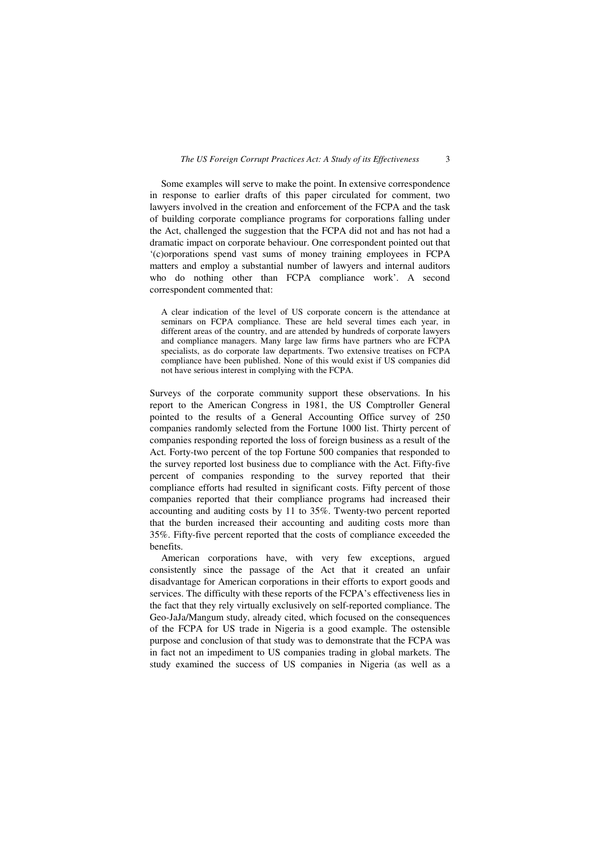Some examples will serve to make the point. In extensive correspondence in response to earlier drafts of this paper circulated for comment, two lawyers involved in the creation and enforcement of the FCPA and the task of building corporate compliance programs for corporations falling under the Act, challenged the suggestion that the FCPA did not and has not had a dramatic impact on corporate behaviour. One correspondent pointed out that '(c)orporations spend vast sums of money training employees in FCPA matters and employ a substantial number of lawyers and internal auditors who do nothing other than FCPA compliance work'. A second correspondent commented that:

A clear indication of the level of US corporate concern is the attendance at seminars on FCPA compliance. These are held several times each year, in different areas of the country, and are attended by hundreds of corporate lawyers and compliance managers. Many large law firms have partners who are FCPA specialists, as do corporate law departments. Two extensive treatises on FCPA compliance have been published. None of this would exist if US companies did not have serious interest in complying with the FCPA.

Surveys of the corporate community support these observations. In his report to the American Congress in 1981, the US Comptroller General pointed to the results of a General Accounting Office survey of 250 companies randomly selected from the Fortune 1000 list. Thirty percent of companies responding reported the loss of foreign business as a result of the Act. Forty-two percent of the top Fortune 500 companies that responded to the survey reported lost business due to compliance with the Act. Fifty-five percent of companies responding to the survey reported that their compliance efforts had resulted in significant costs. Fifty percent of those companies reported that their compliance programs had increased their accounting and auditing costs by 11 to 35%. Twenty-two percent reported that the burden increased their accounting and auditing costs more than 35%. Fifty-five percent reported that the costs of compliance exceeded the benefits.

American corporations have, with very few exceptions, argued consistently since the passage of the Act that it created an unfair disadvantage for American corporations in their efforts to export goods and services. The difficulty with these reports of the FCPA's effectiveness lies in the fact that they rely virtually exclusively on self-reported compliance. The Geo-JaJa/Mangum study, already cited, which focused on the consequences of the FCPA for US trade in Nigeria is a good example. The ostensible purpose and conclusion of that study was to demonstrate that the FCPA was in fact not an impediment to US companies trading in global markets. The study examined the success of US companies in Nigeria (as well as a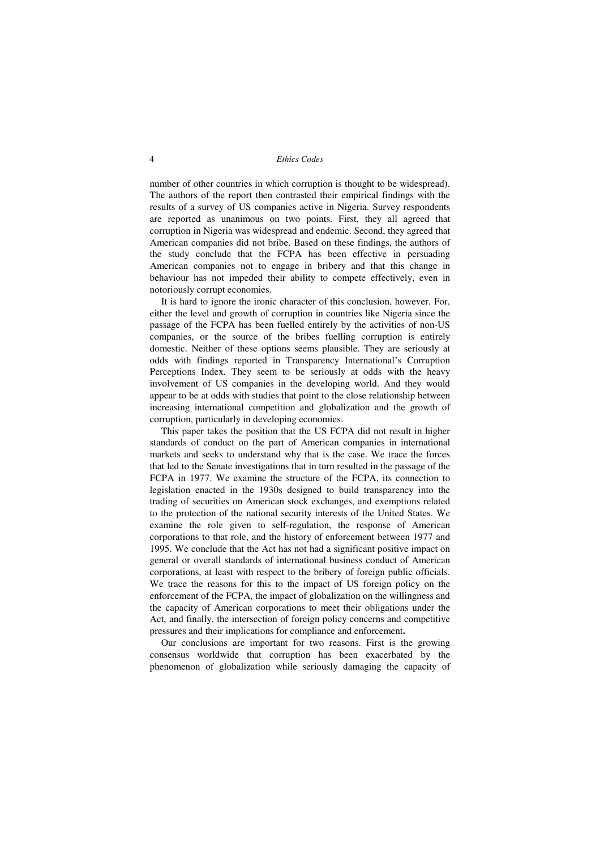number of other countries in which corruption is thought to be widespread). The authors of the report then contrasted their empirical findings with the results of a survey of US companies active in Nigeria. Survey respondents are reported as unanimous on two points. First, they all agreed that corruption in Nigeria was widespread and endemic. Second, they agreed that American companies did not bribe. Based on these findings, the authors of the study conclude that the FCPA has been effective in persuading American companies not to engage in bribery and that this change in behaviour has not impeded their ability to compete effectively, even in notoriously corrupt economies.

It is hard to ignore the ironic character of this conclusion, however. For, either the level and growth of corruption in countries like Nigeria since the passage of the FCPA has been fuelled entirely by the activities of non-US companies, or the source of the bribes fuelling corruption is entirely domestic. Neither of these options seems plausible. They are seriously at odds with findings reported in Transparency International's Corruption Perceptions Index. They seem to be seriously at odds with the heavy involvement of US companies in the developing world. And they would appear to be at odds with studies that point to the close relationship between increasing international competition and globalization and the growth of corruption, particularly in developing economies.

This paper takes the position that the US FCPA did not result in higher standards of conduct on the part of American companies in international markets and seeks to understand why that is the case. We trace the forces that led to the Senate investigations that in turn resulted in the passage of the FCPA in 1977. We examine the structure of the FCPA, its connection to legislation enacted in the 1930s designed to build transparency into the trading of securities on American stock exchanges, and exemptions related to the protection of the national security interests of the United States. We examine the role given to self-regulation, the response of American corporations to that role, and the history of enforcement between 1977 and 1995. We conclude that the Act has not had a significant positive impact on general or overall standards of international business conduct of American corporations, at least with respect to the bribery of foreign public officials. We trace the reasons for this to the impact of US foreign policy on the enforcement of the FCPA, the impact of globalization on the willingness and the capacity of American corporations to meet their obligations under the Act, and finally, the intersection of foreign policy concerns and competitive pressures and their implications for compliance and enforcement**.**

Our conclusions are important for two reasons. First is the growing consensus worldwide that corruption has been exacerbated by the phenomenon of globalization while seriously damaging the capacity of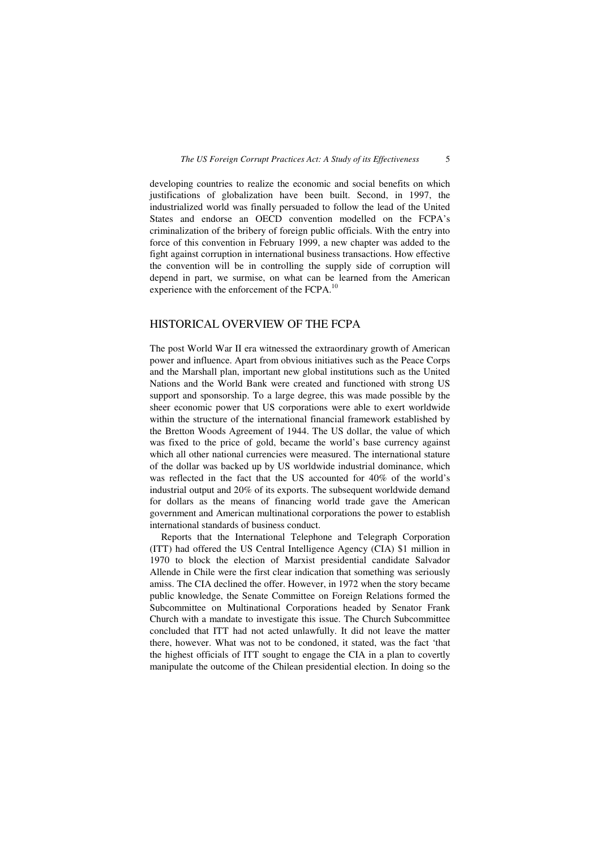developing countries to realize the economic and social benefits on which justifications of globalization have been built. Second, in 1997, the industrialized world was finally persuaded to follow the lead of the United States and endorse an OECD convention modelled on the FCPA's criminalization of the bribery of foreign public officials. With the entry into force of this convention in February 1999, a new chapter was added to the fight against corruption in international business transactions. How effective the convention will be in controlling the supply side of corruption will depend in part, we surmise, on what can be learned from the American experience with the enforcement of the FCPA.<sup>10</sup>

# HISTORICAL OVERVIEW OF THE FCPA

The post World War II era witnessed the extraordinary growth of American power and influence. Apart from obvious initiatives such as the Peace Corps and the Marshall plan, important new global institutions such as the United Nations and the World Bank were created and functioned with strong US support and sponsorship. To a large degree, this was made possible by the sheer economic power that US corporations were able to exert worldwide within the structure of the international financial framework established by the Bretton Woods Agreement of 1944. The US dollar, the value of which was fixed to the price of gold, became the world's base currency against which all other national currencies were measured. The international stature of the dollar was backed up by US worldwide industrial dominance, which was reflected in the fact that the US accounted for 40% of the world's industrial output and 20% of its exports. The subsequent worldwide demand for dollars as the means of financing world trade gave the American government and American multinational corporations the power to establish international standards of business conduct.

Reports that the International Telephone and Telegraph Corporation (ITT) had offered the US Central Intelligence Agency (CIA) \$1 million in 1970 to block the election of Marxist presidential candidate Salvador Allende in Chile were the first clear indication that something was seriously amiss. The CIA declined the offer. However, in 1972 when the story became public knowledge, the Senate Committee on Foreign Relations formed the Subcommittee on Multinational Corporations headed by Senator Frank Church with a mandate to investigate this issue. The Church Subcommittee concluded that ITT had not acted unlawfully. It did not leave the matter there, however. What was not to be condoned, it stated, was the fact 'that the highest officials of ITT sought to engage the CIA in a plan to covertly manipulate the outcome of the Chilean presidential election. In doing so the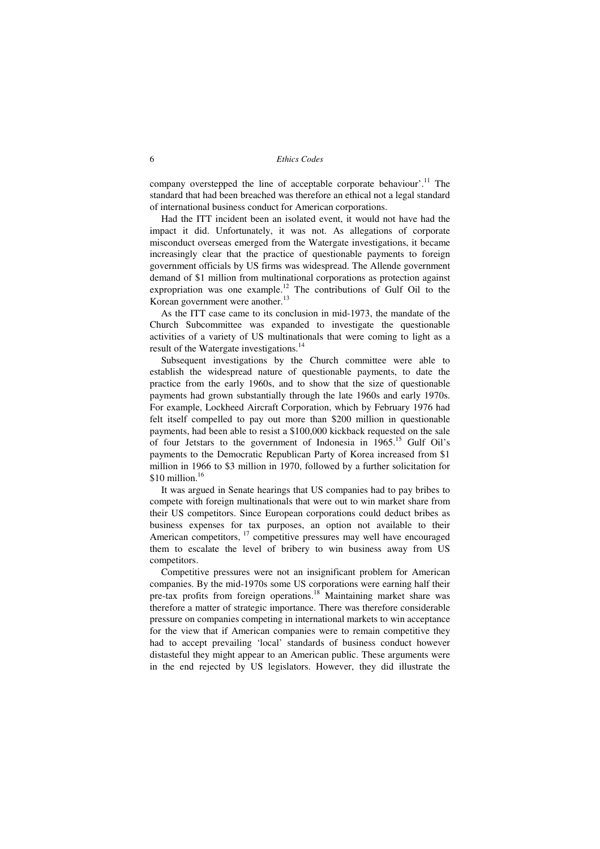company overstepped the line of acceptable corporate behaviour'.<sup>11</sup> The standard that had been breached was therefore an ethical not a legal standard of international business conduct for American corporations.

Had the ITT incident been an isolated event, it would not have had the impact it did. Unfortunately, it was not. As allegations of corporate misconduct overseas emerged from the Watergate investigations, it became increasingly clear that the practice of questionable payments to foreign government officials by US firms was widespread. The Allende government demand of \$1 million from multinational corporations as protection against expropriation was one example.<sup>12</sup> The contributions of Gulf Oil to the Korean government were another. 13

As the ITT case came to its conclusion in mid-1973, the mandate of the Church Subcommittee was expanded to investigate the questionable activities of a variety of US multinationals that were coming to light as a result of the Watergate investigations.<sup>14</sup>

Subsequent investigations by the Church committee were able to establish the widespread nature of questionable payments, to date the practice from the early 1960s, and to show that the size of questionable payments had grown substantially through the late 1960s and early 1970s. For example, Lockheed Aircraft Corporation, which by February 1976 had felt itself compelled to pay out more than \$200 million in questionable payments, had been able to resist a \$100,000 kickback requested on the sale of four Jetstars to the government of Indonesia in 1965.<sup>15</sup> Gulf Oil's payments to the Democratic Republican Party of Korea increased from \$1 million in 1966 to \$3 million in 1970, followed by a further solicitation for \$10 million. 16

It was argued in Senate hearings that US companies had to pay bribes to compete with foreign multinationals that were out to win market share from their US competitors. Since European corporations could deduct bribes as business expenses for tax purposes, an option not available to their American competitors, <sup>17</sup> competitive pressures may well have encouraged them to escalate the level of bribery to win business away from US competitors.

Competitive pressures were not an insignificant problem for American companies. By the mid-1970s some US corporations were earning half their pre-tax profits from foreign operations.<sup>18</sup> Maintaining market share was therefore a matter of strategic importance. There was therefore considerable pressure on companies competing in international markets to win acceptance for the view that if American companies were to remain competitive they had to accept prevailing 'local' standards of business conduct however distasteful they might appear to an American public. These arguments were in the end rejected by US legislators. However, they did illustrate the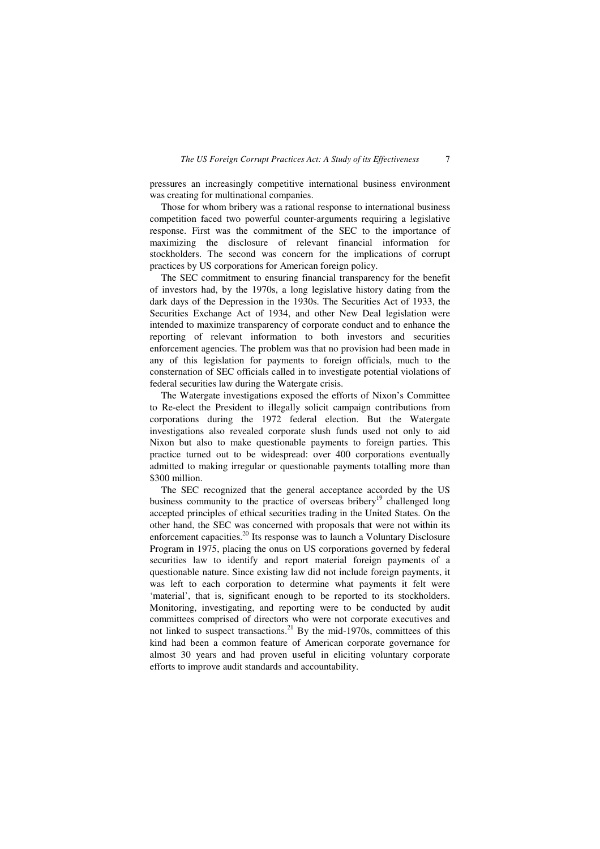pressures an increasingly competitive international business environment was creating for multinational companies.

Those for whom bribery was a rational response to international business competition faced two powerful counter-arguments requiring a legislative response. First was the commitment of the SEC to the importance of maximizing the disclosure of relevant financial information for stockholders. The second was concern for the implications of corrupt practices by US corporations for American foreign policy.

The SEC commitment to ensuring financial transparency for the benefit of investors had, by the 1970s, a long legislative history dating from the dark days of the Depression in the 1930s. The Securities Act of 1933, the Securities Exchange Act of 1934, and other New Deal legislation were intended to maximize transparency of corporate conduct and to enhance the reporting of relevant information to both investors and securities enforcement agencies. The problem was that no provision had been made in any of this legislation for payments to foreign officials, much to the consternation of SEC officials called in to investigate potential violations of federal securities law during the Watergate crisis.

The Watergate investigations exposed the efforts of Nixon's Committee to Re-elect the President to illegally solicit campaign contributions from corporations during the 1972 federal election. But the Watergate investigations also revealed corporate slush funds used not only to aid Nixon but also to make questionable payments to foreign parties. This practice turned out to be widespread: over 400 corporations eventually admitted to making irregular or questionable payments totalling more than \$300 million.

The SEC recognized that the general acceptance accorded by the US business community to the practice of overseas bribery<sup>19</sup> challenged long accepted principles of ethical securities trading in the United States. On the other hand, the SEC was concerned with proposals that were not within its enforcement capacities.<sup>20</sup> Its response was to launch a Voluntary Disclosure Program in 1975, placing the onus on US corporations governed by federal securities law to identify and report material foreign payments of a questionable nature. Since existing law did not include foreign payments, it was left to each corporation to determine what payments it felt were 'material', that is, significant enough to be reported to its stockholders. Monitoring, investigating, and reporting were to be conducted by audit committees comprised of directors who were not corporate executives and not linked to suspect transactions.<sup>21</sup> By the mid-1970s, committees of this kind had been a common feature of American corporate governance for almost 30 years and had proven useful in eliciting voluntary corporate efforts to improve audit standards and accountability.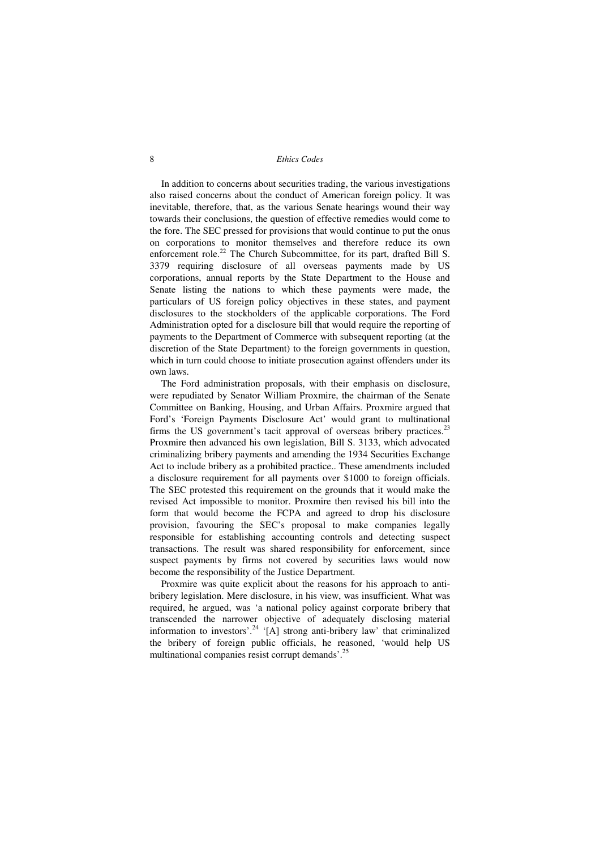In addition to concerns about securities trading, the various investigations also raised concerns about the conduct of American foreign policy. It was inevitable, therefore, that, as the various Senate hearings wound their way towards their conclusions, the question of effective remedies would come to the fore. The SEC pressed for provisions that would continue to put the onus on corporations to monitor themselves and therefore reduce its own enforcement role.<sup>22</sup> The Church Subcommittee, for its part, drafted Bill S. 3379 requiring disclosure of all overseas payments made by US corporations, annual reports by the State Department to the House and Senate listing the nations to which these payments were made, the particulars of US foreign policy objectives in these states, and payment disclosures to the stockholders of the applicable corporations. The Ford Administration opted for a disclosure bill that would require the reporting of payments to the Department of Commerce with subsequent reporting (at the discretion of the State Department) to the foreign governments in question, which in turn could choose to initiate prosecution against offenders under its own laws.

The Ford administration proposals, with their emphasis on disclosure, were repudiated by Senator William Proxmire, the chairman of the Senate Committee on Banking, Housing, and Urban Affairs. Proxmire argued that Ford's 'Foreign Payments Disclosure Act' would grant to multinational firms the US government's tacit approval of overseas bribery practices.<sup>23</sup> Proxmire then advanced his own legislation, Bill S. 3133, which advocated criminalizing bribery payments and amending the 1934 Securities Exchange Act to include bribery as a prohibited practice.. These amendments included a disclosure requirement for all payments over \$1000 to foreign officials. The SEC protested this requirement on the grounds that it would make the revised Act impossible to monitor. Proxmire then revised his bill into the form that would become the FCPA and agreed to drop his disclosure provision, favouring the SEC's proposal to make companies legally responsible for establishing accounting controls and detecting suspect transactions. The result was shared responsibility for enforcement, since suspect payments by firms not covered by securities laws would now become the responsibility of the Justice Department.

Proxmire was quite explicit about the reasons for his approach to antibribery legislation. Mere disclosure, in his view, was insufficient. What was required, he argued, was 'a national policy against corporate bribery that transcended the narrower objective of adequately disclosing material information to investors'. 24 '[A] strong anti-bribery law' that criminalized the bribery of foreign public officials, he reasoned, 'would help US multinational companies resist corrupt demands'.<sup>25</sup>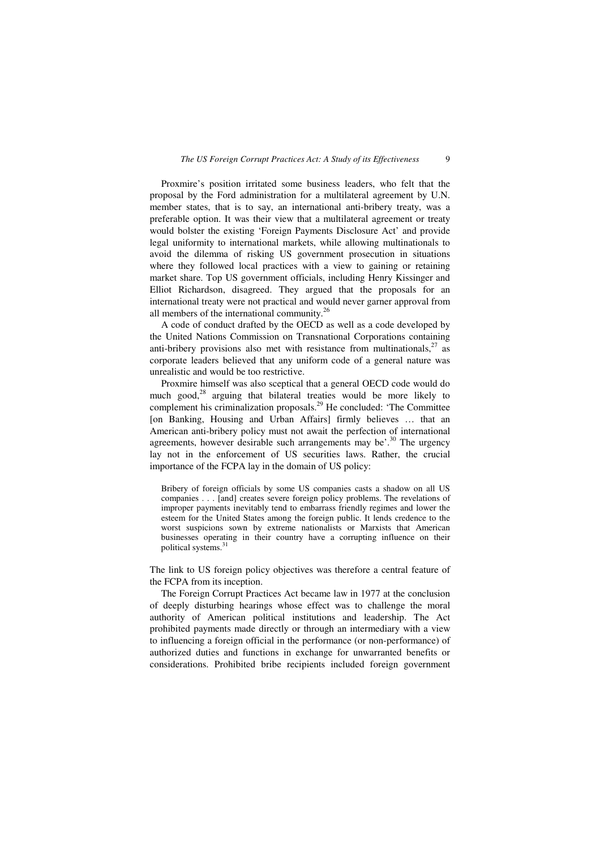Proxmire's position irritated some business leaders, who felt that the proposal by the Ford administration for a multilateral agreement by U.N. member states, that is to say, an international anti-bribery treaty, was a preferable option. It was their view that a multilateral agreement or treaty would bolster the existing 'Foreign Payments Disclosure Act' and provide legal uniformity to international markets, while allowing multinationals to avoid the dilemma of risking US government prosecution in situations where they followed local practices with a view to gaining or retaining market share. Top US government officials, including Henry Kissinger and Elliot Richardson, disagreed. They argued that the proposals for an international treaty were not practical and would never garner approval from all members of the international community.<sup>26</sup>

A code of conduct drafted by the OECD as well as a code developed by the United Nations Commission on Transnational Corporations containing anti-bribery provisions also met with resistance from multinationals, $27$  as corporate leaders believed that any uniform code of a general nature was unrealistic and would be too restrictive.

Proxmire himself was also sceptical that a general OECD code would do much good,<sup>28</sup> arguing that bilateral treaties would be more likely to complement his criminalization proposals.<sup>29</sup> He concluded: 'The Committee [on Banking, Housing and Urban Affairs] firmly believes … that an American anti-bribery policy must not await the perfection of international agreements, however desirable such arrangements may be'.<sup>30</sup> The urgency lay not in the enforcement of US securities laws. Rather, the crucial importance of the FCPA lay in the domain of US policy:

Bribery of foreign officials by some US companies casts a shadow on all US companies . . . [and] creates severe foreign policy problems. The revelations of improper payments inevitably tend to embarrass friendly regimes and lower the esteem for the United States among the foreign public. It lends credence to the worst suspicions sown by extreme nationalists or Marxists that American businesses operating in their country have a corrupting influence on their political systems. 31

The link to US foreign policy objectives was therefore a central feature of the FCPA from its inception.

The Foreign Corrupt Practices Act became law in 1977 at the conclusion of deeply disturbing hearings whose effect was to challenge the moral authority of American political institutions and leadership. The Act prohibited payments made directly or through an intermediary with a view to influencing a foreign official in the performance (or non-performance) of authorized duties and functions in exchange for unwarranted benefits or considerations. Prohibited bribe recipients included foreign government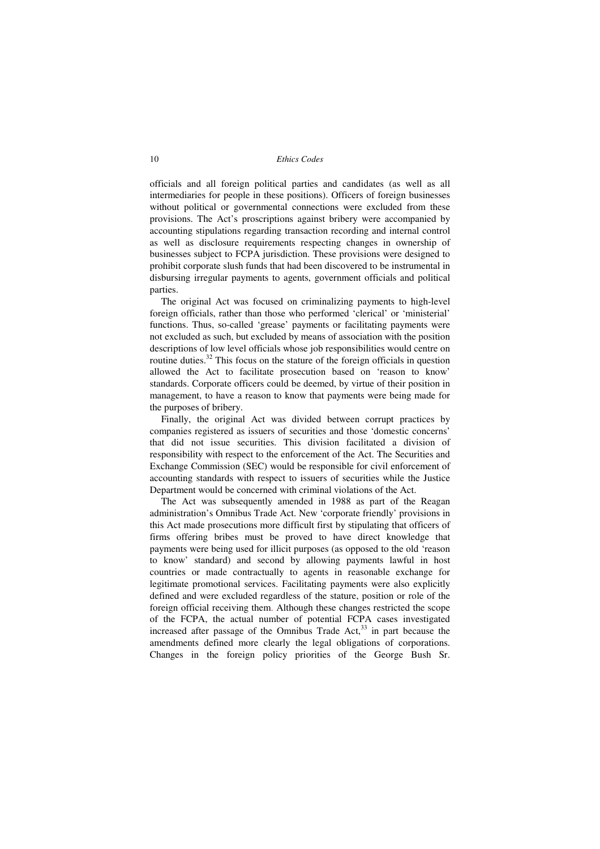officials and all foreign political parties and candidates (as well as all intermediaries for people in these positions). Officers of foreign businesses without political or governmental connections were excluded from these provisions. The Act's proscriptions against bribery were accompanied by accounting stipulations regarding transaction recording and internal control as well as disclosure requirements respecting changes in ownership of businesses subject to FCPA jurisdiction. These provisions were designed to prohibit corporate slush funds that had been discovered to be instrumental in disbursing irregular payments to agents, government officials and political parties.

The original Act was focused on criminalizing payments to high-level foreign officials, rather than those who performed 'clerical' or 'ministerial' functions. Thus, so-called 'grease' payments or facilitating payments were not excluded as such, but excluded by means of association with the position descriptions of low level officials whose job responsibilities would centre on routine duties.<sup>32</sup> This focus on the stature of the foreign officials in question allowed the Act to facilitate prosecution based on 'reason to know' standards. Corporate officers could be deemed, by virtue of their position in management, to have a reason to know that payments were being made for the purposes of bribery.

Finally, the original Act was divided between corrupt practices by companies registered as issuers of securities and those 'domestic concerns' that did not issue securities. This division facilitated a division of responsibility with respect to the enforcement of the Act. The Securities and Exchange Commission (SEC) would be responsible for civil enforcement of accounting standards with respect to issuers of securities while the Justice Department would be concerned with criminal violations of the Act.

The Act was subsequently amended in 1988 as part of the Reagan administration's Omnibus Trade Act. New 'corporate friendly' provisions in this Act made prosecutions more difficult first by stipulating that officers of firms offering bribes must be proved to have direct knowledge that payments were being used for illicit purposes (as opposed to the old 'reason to know' standard) and second by allowing payments lawful in host countries or made contractually to agents in reasonable exchange for legitimate promotional services. Facilitating payments were also explicitly defined and were excluded regardless of the stature, position or role of the foreign official receiving them. Although these changes restricted the scope of the FCPA, the actual number of potential FCPA cases investigated increased after passage of the Omnibus Trade Act, 33 in part because the amendments defined more clearly the legal obligations of corporations. Changes in the foreign policy priorities of the George Bush Sr.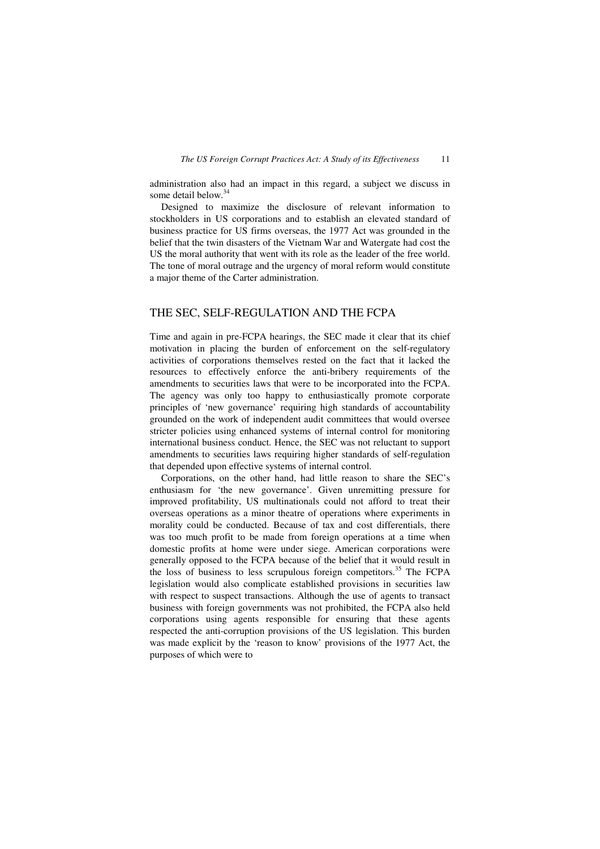administration also had an impact in this regard, a subject we discuss in some detail below. 34

Designed to maximize the disclosure of relevant information to stockholders in US corporations and to establish an elevated standard of business practice for US firms overseas, the 1977 Act was grounded in the belief that the twin disasters of the Vietnam War and Watergate had cost the US the moral authority that went with its role as the leader of the free world. The tone of moral outrage and the urgency of moral reform would constitute a major theme of the Carter administration.

# THE SEC, SELF-REGULATION AND THE FCPA

Time and again in pre-FCPA hearings, the SEC made it clear that its chief motivation in placing the burden of enforcement on the self-regulatory activities of corporations themselves rested on the fact that it lacked the resources to effectively enforce the anti-bribery requirements of the amendments to securities laws that were to be incorporated into the FCPA. The agency was only too happy to enthusiastically promote corporate principles of 'new governance' requiring high standards of accountability grounded on the work of independent audit committees that would oversee stricter policies using enhanced systems of internal control for monitoring international business conduct. Hence, the SEC was not reluctant to support amendments to securities laws requiring higher standards of self-regulation that depended upon effective systems of internal control.

Corporations, on the other hand, had little reason to share the SEC's enthusiasm for 'the new governance'. Given unremitting pressure for improved profitability, US multinationals could not afford to treat their overseas operations as a minor theatre of operations where experiments in morality could be conducted. Because of tax and cost differentials, there was too much profit to be made from foreign operations at a time when domestic profits at home were under siege. American corporations were generally opposed to the FCPA because of the belief that it would result in the loss of business to less scrupulous foreign competitors. <sup>35</sup> The FCPA legislation would also complicate established provisions in securities law with respect to suspect transactions. Although the use of agents to transact business with foreign governments was not prohibited, the FCPA also held corporations using agents responsible for ensuring that these agents respected the anti-corruption provisions of the US legislation. This burden was made explicit by the 'reason to know' provisions of the 1977 Act, the purposes of which were to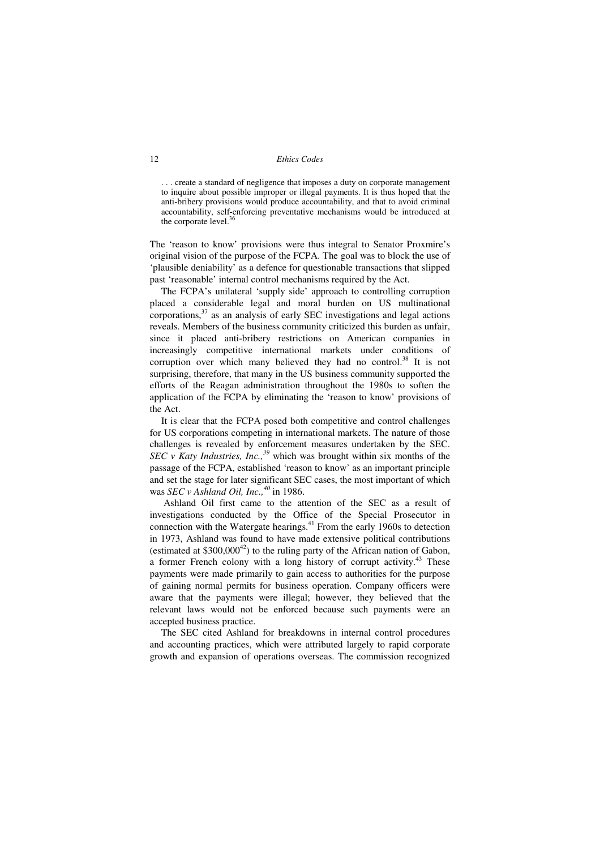. . . create a standard of negligence that imposes a duty on corporate management to inquire about possible improper or illegal payments. It is thus hoped that the anti-bribery provisions would produce accountability, and that to avoid criminal accountability, self-enforcing preventative mechanisms would be introduced at the corporate level.<sup>36</sup>

The 'reason to know' provisions were thus integral to Senator Proxmire's original vision of the purpose of the FCPA. The goal was to block the use of 'plausible deniability' as a defence for questionable transactions that slipped past 'reasonable' internal control mechanisms required by the Act.

The FCPA's unilateral 'supply side' approach to controlling corruption placed a considerable legal and moral burden on US multinational corporations, $37$  as an analysis of early SEC investigations and legal actions reveals. Members of the business community criticized this burden as unfair, since it placed anti-bribery restrictions on American companies in increasingly competitive international markets under conditions of corruption over which many believed they had no control.<sup>38</sup> It is not surprising, therefore, that many in the US business community supported the efforts of the Reagan administration throughout the 1980s to soften the application of the FCPA by eliminating the 'reason to know' provisions of the Act.

It is clear that the FCPA posed both competitive and control challenges for US corporations competing in international markets. The nature of those challenges is revealed by enforcement measures undertaken by the SEC. *SEC v Katy Industries, Inc., <sup>39</sup>* which was brought within six months of the passage of the FCPA, established 'reason to know' as an important principle and set the stage for later significant SEC cases, the most important of which was *SEC v Ashland Oil, Inc., 40* in 1986.

Ashland Oil first came to the attention of the SEC as a result of investigations conducted by the Office of the Special Prosecutor in connection with the Watergate hearings. 41 From the early 1960s to detection in 1973, Ashland was found to have made extensive political contributions (estimated at \$300,000<sup>42</sup>) to the ruling party of the African nation of Gabon, a former French colony with a long history of corrupt activity.<sup>43</sup> These payments were made primarily to gain access to authorities for the purpose of gaining normal permits for business operation. Company officers were aware that the payments were illegal; however, they believed that the relevant laws would not be enforced because such payments were an accepted business practice.

The SEC cited Ashland for breakdowns in internal control procedures and accounting practices, which were attributed largely to rapid corporate growth and expansion of operations overseas. The commission recognized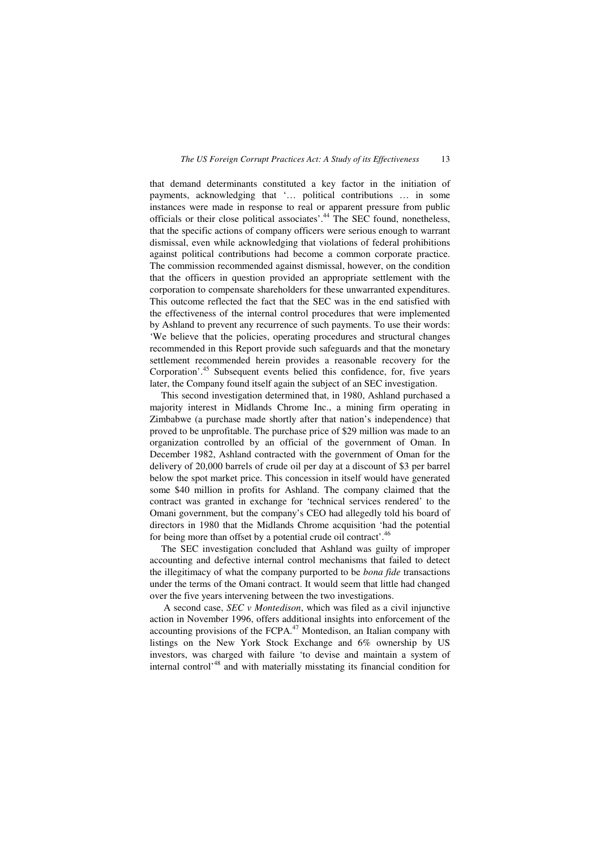that demand determinants constituted a key factor in the initiation of payments, acknowledging that '… political contributions … in some instances were made in response to real or apparent pressure from public officials or their close political associates'. <sup>44</sup> The SEC found, nonetheless, that the specific actions of company officers were serious enough to warrant dismissal, even while acknowledging that violations of federal prohibitions against political contributions had become a common corporate practice. The commission recommended against dismissal, however, on the condition that the officers in question provided an appropriate settlement with the corporation to compensate shareholders for these unwarranted expenditures. This outcome reflected the fact that the SEC was in the end satisfied with the effectiveness of the internal control procedures that were implemented by Ashland to prevent any recurrence of such payments. To use their words: 'We believe that the policies, operating procedures and structural changes recommended in this Report provide such safeguards and that the monetary settlement recommended herein provides a reasonable recovery for the Corporation'.<sup>45</sup> Subsequent events belied this confidence, for, five years later, the Company found itself again the subject of an SEC investigation.

This second investigation determined that, in 1980, Ashland purchased a majority interest in Midlands Chrome Inc., a mining firm operating in Zimbabwe (a purchase made shortly after that nation's independence) that proved to be unprofitable. The purchase price of \$29 million was made to an organization controlled by an official of the government of Oman. In December 1982, Ashland contracted with the government of Oman for the delivery of 20,000 barrels of crude oil per day at a discount of \$3 per barrel below the spot market price. This concession in itself would have generated some \$40 million in profits for Ashland. The company claimed that the contract was granted in exchange for 'technical services rendered' to the Omani government, but the company's CEO had allegedly told his board of directors in 1980 that the Midlands Chrome acquisition 'had the potential for being more than offset by a potential crude oil contract'.<sup>46</sup>

The SEC investigation concluded that Ashland was guilty of improper accounting and defective internal control mechanisms that failed to detect the illegitimacy of what the company purported to be *bona fide* transactions under the terms of the Omani contract. It would seem that little had changed over the five years intervening between the two investigations.

A second case, *SEC v Montedison*, which was filed as a civil injunctive action in November 1996, offers additional insights into enforcement of the accounting provisions of the FCPA.<sup>47</sup> Montedison, an Italian company with listings on the New York Stock Exchange and 6% ownership by US investors, was charged with failure 'to devise and maintain a system of internal control' 48 and with materially misstating its financial condition for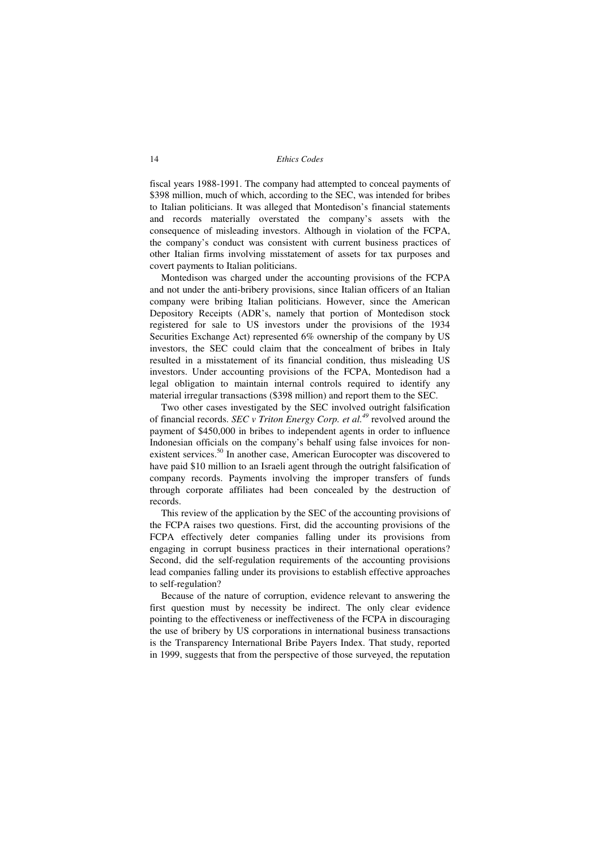fiscal years 1988-1991. The company had attempted to conceal payments of \$398 million, much of which, according to the SEC, was intended for bribes to Italian politicians. It was alleged that Montedison's financial statements and records materially overstated the company's assets with the consequence of misleading investors. Although in violation of the FCPA, the company's conduct was consistent with current business practices of other Italian firms involving misstatement of assets for tax purposes and covert payments to Italian politicians.

Montedison was charged under the accounting provisions of the FCPA and not under the anti-bribery provisions, since Italian officers of an Italian company were bribing Italian politicians. However, since the American Depository Receipts (ADR's, namely that portion of Montedison stock registered for sale to US investors under the provisions of the 1934 Securities Exchange Act) represented 6% ownership of the company by US investors, the SEC could claim that the concealment of bribes in Italy resulted in a misstatement of its financial condition, thus misleading US investors. Under accounting provisions of the FCPA, Montedison had a legal obligation to maintain internal controls required to identify any material irregular transactions (\$398 million) and report them to the SEC.

Two other cases investigated by the SEC involved outright falsification of financial records. *SEC v Triton Energy Corp. et al. 49* revolved around the payment of \$450,000 in bribes to independent agents in order to influence Indonesian officials on the company's behalf using false invoices for nonexistent services.<sup>50</sup> In another case, American Eurocopter was discovered to have paid \$10 million to an Israeli agent through the outright falsification of company records. Payments involving the improper transfers of funds through corporate affiliates had been concealed by the destruction of records.

This review of the application by the SEC of the accounting provisions of the FCPA raises two questions. First, did the accounting provisions of the FCPA effectively deter companies falling under its provisions from engaging in corrupt business practices in their international operations? Second, did the self-regulation requirements of the accounting provisions lead companies falling under its provisions to establish effective approaches to self-regulation?

Because of the nature of corruption, evidence relevant to answering the first question must by necessity be indirect. The only clear evidence pointing to the effectiveness or ineffectiveness of the FCPA in discouraging the use of bribery by US corporations in international business transactions is the Transparency International Bribe Payers Index. That study, reported in 1999, suggests that from the perspective of those surveyed, the reputation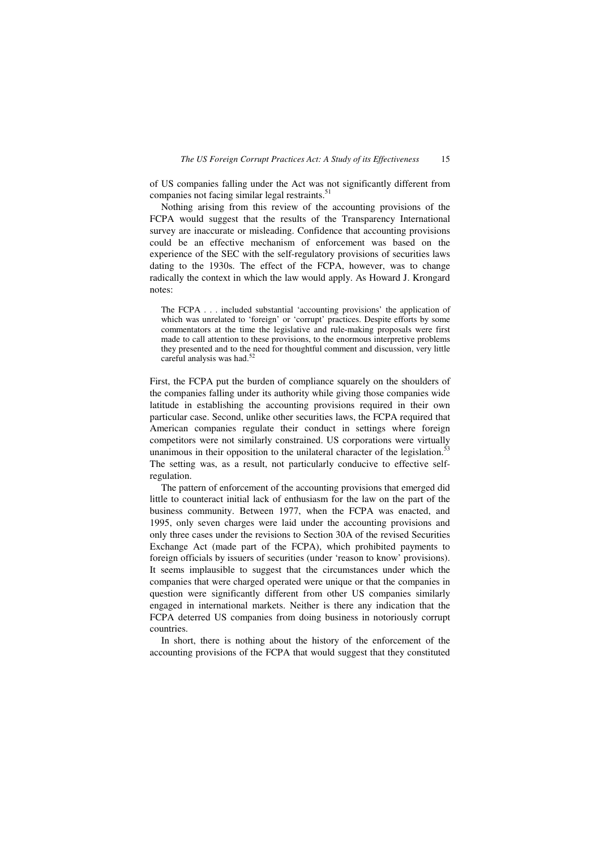of US companies falling under the Act was not significantly different from companies not facing similar legal restraints.<sup>51</sup>

Nothing arising from this review of the accounting provisions of the FCPA would suggest that the results of the Transparency International survey are inaccurate or misleading. Confidence that accounting provisions could be an effective mechanism of enforcement was based on the experience of the SEC with the self-regulatory provisions of securities laws dating to the 1930s. The effect of the FCPA, however, was to change radically the context in which the law would apply. As Howard J. Krongard notes:

The FCPA . . . included substantial 'accounting provisions' the application of which was unrelated to 'foreign' or 'corrupt' practices. Despite efforts by some commentators at the time the legislative and rule-making proposals were first made to call attention to these provisions, to the enormous interpretive problems they presented and to the need for thoughtful comment and discussion, very little careful analysis was had. 52

First, the FCPA put the burden of compliance squarely on the shoulders of the companies falling under its authority while giving those companies wide latitude in establishing the accounting provisions required in their own particular case. Second, unlike other securities laws, the FCPA required that American companies regulate their conduct in settings where foreign competitors were not similarly constrained. US corporations were virtually unanimous in their opposition to the unilateral character of the legislation. 53 The setting was, as a result, not particularly conducive to effective selfregulation.

The pattern of enforcement of the accounting provisions that emerged did little to counteract initial lack of enthusiasm for the law on the part of the business community. Between 1977, when the FCPA was enacted, and 1995, only seven charges were laid under the accounting provisions and only three cases under the revisions to Section 30A of the revised Securities Exchange Act (made part of the FCPA), which prohibited payments to foreign officials by issuers of securities (under 'reason to know' provisions). It seems implausible to suggest that the circumstances under which the companies that were charged operated were unique or that the companies in question were significantly different from other US companies similarly engaged in international markets. Neither is there any indication that the FCPA deterred US companies from doing business in notoriously corrupt countries.

In short, there is nothing about the history of the enforcement of the accounting provisions of the FCPA that would suggest that they constituted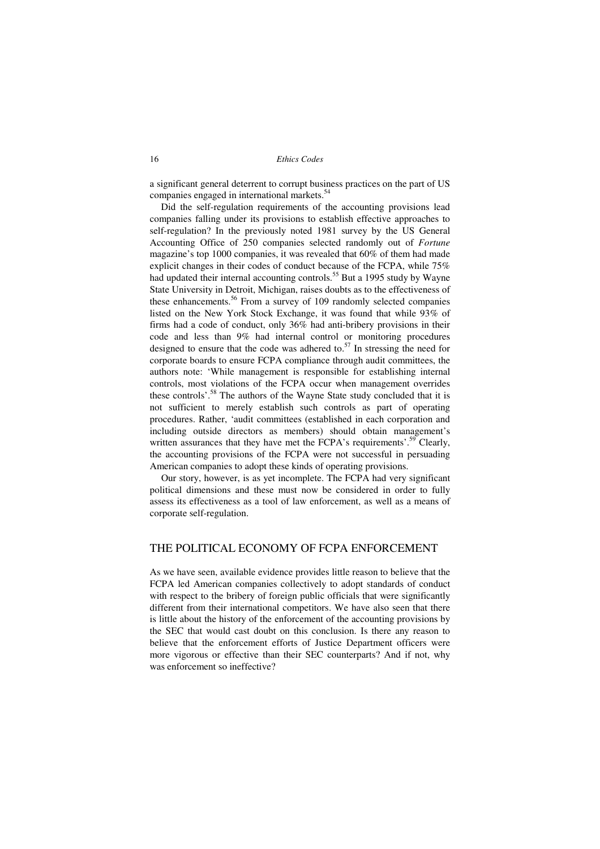a significant general deterrent to corrupt business practices on the part of US companies engaged in international markets. 54

Did the self-regulation requirements of the accounting provisions lead companies falling under its provisions to establish effective approaches to self-regulation? In the previously noted 1981 survey by the US General Accounting Office of 250 companies selected randomly out of *Fortune* magazine's top 1000 companies, it was revealed that 60% of them had made explicit changes in their codes of conduct because of the FCPA, while 75% had updated their internal accounting controls.<sup>55</sup> But a 1995 study by Wayne State University in Detroit, Michigan, raises doubts as to the effectiveness of these enhancements.<sup>56</sup> From a survey of 109 randomly selected companies listed on the New York Stock Exchange, it was found that while 93% of firms had a code of conduct, only 36% had anti-bribery provisions in their code and less than 9% had internal control or monitoring procedures designed to ensure that the code was adhered to.<sup>57</sup> In stressing the need for corporate boards to ensure FCPA compliance through audit committees, the authors note: 'While management is responsible for establishing internal controls, most violations of the FCPA occur when management overrides these controls'. <sup>58</sup> The authors of the Wayne State study concluded that it is not sufficient to merely establish such controls as part of operating procedures. Rather, 'audit committees (established in each corporation and including outside directors as members) should obtain management's written assurances that they have met the FCPA's requirements'.<sup>59</sup> Clearly, the accounting provisions of the FCPA were not successful in persuading American companies to adopt these kinds of operating provisions.

Our story, however, is as yet incomplete. The FCPA had very significant political dimensions and these must now be considered in order to fully assess its effectiveness as a tool of law enforcement, as well as a means of corporate self-regulation.

# THE POLITICAL ECONOMY OF FCPA ENFORCEMENT

As we have seen, available evidence provides little reason to believe that the FCPA led American companies collectively to adopt standards of conduct with respect to the bribery of foreign public officials that were significantly different from their international competitors. We have also seen that there is little about the history of the enforcement of the accounting provisions by the SEC that would cast doubt on this conclusion. Is there any reason to believe that the enforcement efforts of Justice Department officers were more vigorous or effective than their SEC counterparts? And if not, why was enforcement so ineffective?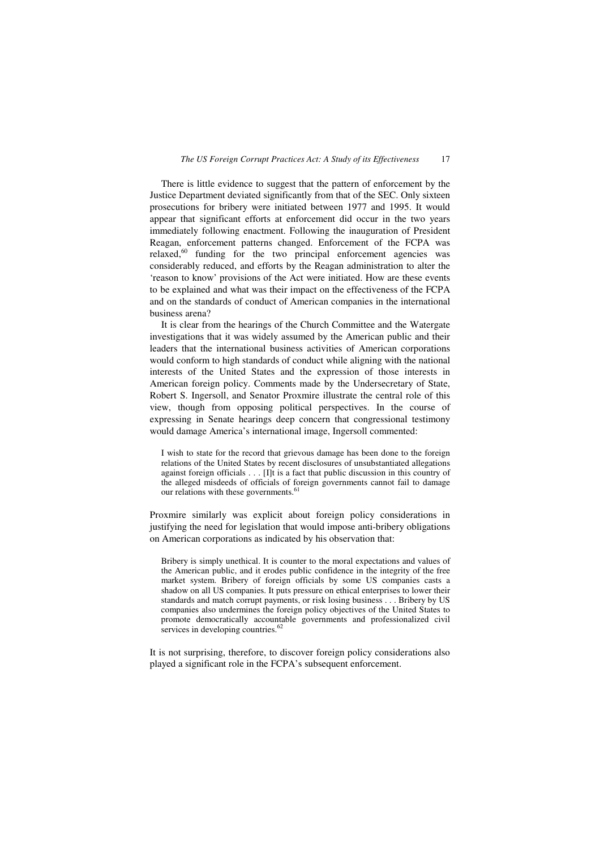There is little evidence to suggest that the pattern of enforcement by the Justice Department deviated significantly from that of the SEC. Only sixteen prosecutions for bribery were initiated between 1977 and 1995. It would appear that significant efforts at enforcement did occur in the two years immediately following enactment. Following the inauguration of President Reagan, enforcement patterns changed. Enforcement of the FCPA was relaxed,<sup>60</sup> funding for the two principal enforcement agencies was considerably reduced, and efforts by the Reagan administration to alter the 'reason to know' provisions of the Act were initiated. How are these events to be explained and what was their impact on the effectiveness of the FCPA and on the standards of conduct of American companies in the international business arena?

It is clear from the hearings of the Church Committee and the Watergate investigations that it was widely assumed by the American public and their leaders that the international business activities of American corporations would conform to high standards of conduct while aligning with the national interests of the United States and the expression of those interests in American foreign policy. Comments made by the Undersecretary of State, Robert S. Ingersoll, and Senator Proxmire illustrate the central role of this view, though from opposing political perspectives. In the course of expressing in Senate hearings deep concern that congressional testimony would damage America's international image, Ingersoll commented:

I wish to state for the record that grievous damage has been done to the foreign relations of the United States by recent disclosures of unsubstantiated allegations against foreign officials . . . [I]t is a fact that public discussion in this country of the alleged misdeeds of officials of foreign governments cannot fail to damage our relations with these governments. 61

Proxmire similarly was explicit about foreign policy considerations in justifying the need for legislation that would impose anti-bribery obligations on American corporations as indicated by his observation that:

Bribery is simply unethical. It is counter to the moral expectations and values of the American public, and it erodes public confidence in the integrity of the free market system. Bribery of foreign officials by some US companies casts a shadow on all US companies. It puts pressure on ethical enterprises to lower their standards and match corrupt payments, or risk losing business . . . Bribery by US companies also undermines the foreign policy objectives of the United States to promote democratically accountable governments and professionalized civil services in developing countries.<sup>62</sup>

It is not surprising, therefore, to discover foreign policy considerations also played a significant role in the FCPA's subsequent enforcement.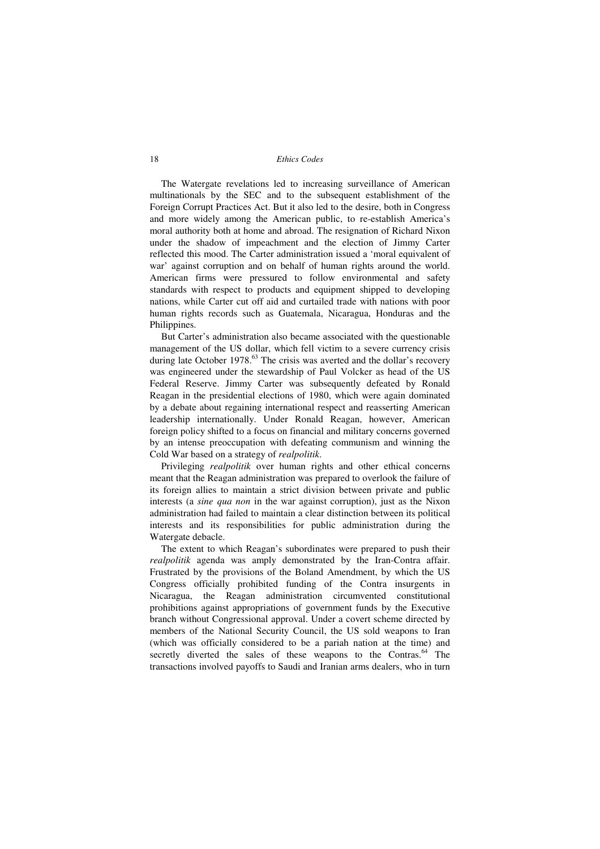The Watergate revelations led to increasing surveillance of American multinationals by the SEC and to the subsequent establishment of the Foreign Corrupt Practices Act. But it also led to the desire, both in Congress and more widely among the American public, to re-establish America's moral authority both at home and abroad. The resignation of Richard Nixon under the shadow of impeachment and the election of Jimmy Carter reflected this mood. The Carter administration issued a 'moral equivalent of war' against corruption and on behalf of human rights around the world. American firms were pressured to follow environmental and safety standards with respect to products and equipment shipped to developing nations, while Carter cut off aid and curtailed trade with nations with poor human rights records such as Guatemala, Nicaragua, Honduras and the Philippines.

But Carter's administration also became associated with the questionable management of the US dollar, which fell victim to a severe currency crisis during late October 1978.<sup>63</sup> The crisis was averted and the dollar's recovery was engineered under the stewardship of Paul Volcker as head of the US Federal Reserve. Jimmy Carter was subsequently defeated by Ronald Reagan in the presidential elections of 1980, which were again dominated by a debate about regaining international respect and reasserting American leadership internationally. Under Ronald Reagan, however, American foreign policy shifted to a focus on financial and military concerns governed by an intense preoccupation with defeating communism and winning the Cold War based on a strategy of *realpolitik*.

Privileging *realpolitik* over human rights and other ethical concerns meant that the Reagan administration was prepared to overlook the failure of its foreign allies to maintain a strict division between private and public interests (a *sine qua non* in the war against corruption), just as the Nixon administration had failed to maintain a clear distinction between its political interests and its responsibilities for public administration during the Watergate debacle.

The extent to which Reagan's subordinates were prepared to push their *realpolitik* agenda was amply demonstrated by the Iran-Contra affair. Frustrated by the provisions of the Boland Amendment, by which the US Congress officially prohibited funding of the Contra insurgents in Nicaragua, the Reagan administration circumvented constitutional prohibitions against appropriations of government funds by the Executive branch without Congressional approval. Under a covert scheme directed by members of the National Security Council, the US sold weapons to Iran (which was officially considered to be a pariah nation at the time) and secretly diverted the sales of these weapons to the Contras.<sup>64</sup> The transactions involved payoffs to Saudi and Iranian arms dealers, who in turn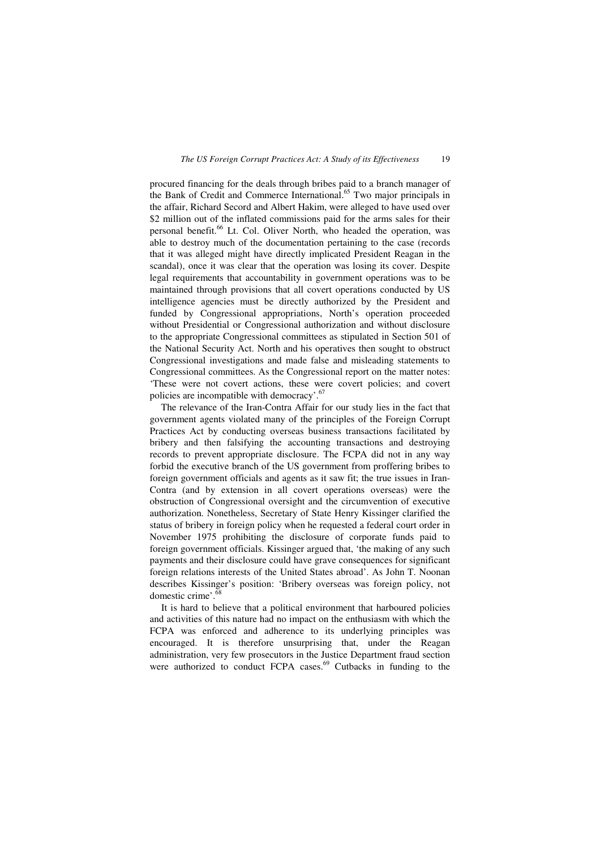procured financing for the deals through bribes paid to a branch manager of the Bank of Credit and Commerce International.<sup>65</sup> Two major principals in the affair, Richard Secord and Albert Hakim, were alleged to have used over \$2 million out of the inflated commissions paid for the arms sales for their personal benefit.<sup>66</sup> Lt. Col. Oliver North, who headed the operation, was able to destroy much of the documentation pertaining to the case (records that it was alleged might have directly implicated President Reagan in the scandal), once it was clear that the operation was losing its cover. Despite legal requirements that accountability in government operations was to be maintained through provisions that all covert operations conducted by US intelligence agencies must be directly authorized by the President and funded by Congressional appropriations, North's operation proceeded without Presidential or Congressional authorization and without disclosure to the appropriate Congressional committees as stipulated in Section 501 of the National Security Act. North and his operatives then sought to obstruct Congressional investigations and made false and misleading statements to Congressional committees. As the Congressional report on the matter notes: 'These were not covert actions, these were covert policies; and covert policies are incompatible with democracy'.<sup>67</sup>

The relevance of the Iran-Contra Affair for our study lies in the fact that government agents violated many of the principles of the Foreign Corrupt Practices Act by conducting overseas business transactions facilitated by bribery and then falsifying the accounting transactions and destroying records to prevent appropriate disclosure. The FCPA did not in any way forbid the executive branch of the US government from proffering bribes to foreign government officials and agents as it saw fit; the true issues in Iran-Contra (and by extension in all covert operations overseas) were the obstruction of Congressional oversight and the circumvention of executive authorization. Nonetheless, Secretary of State Henry Kissinger clarified the status of bribery in foreign policy when he requested a federal court order in November 1975 prohibiting the disclosure of corporate funds paid to foreign government officials. Kissinger argued that, 'the making of any such payments and their disclosure could have grave consequences for significant foreign relations interests of the United States abroad'. As John T. Noonan describes Kissinger's position: 'Bribery overseas was foreign policy, not domestic crime'. 68

It is hard to believe that a political environment that harboured policies and activities of this nature had no impact on the enthusiasm with which the FCPA was enforced and adherence to its underlying principles was encouraged. It is therefore unsurprising that, under the Reagan administration, very few prosecutors in the Justice Department fraud section were authorized to conduct FCPA cases.<sup>69</sup> Cutbacks in funding to the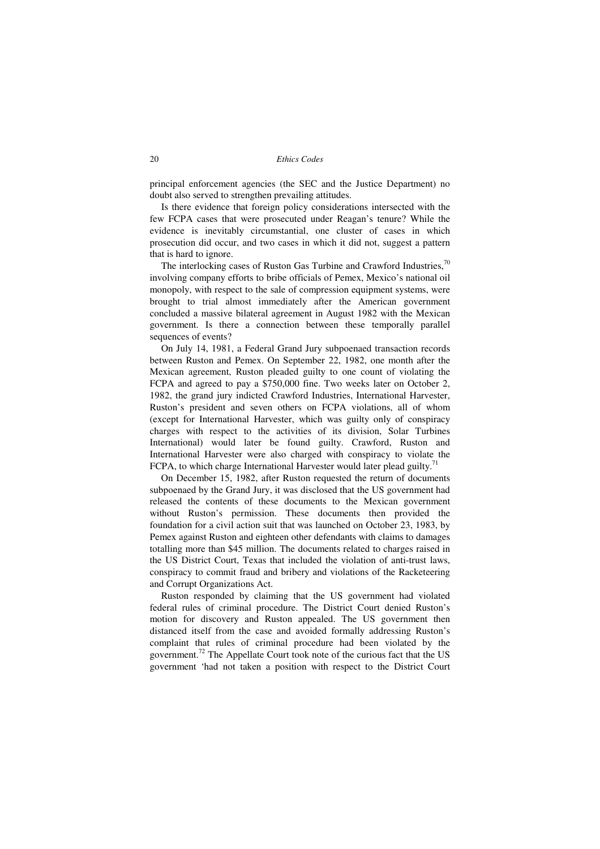principal enforcement agencies (the SEC and the Justice Department) no doubt also served to strengthen prevailing attitudes.

Is there evidence that foreign policy considerations intersected with the few FCPA cases that were prosecuted under Reagan's tenure? While the evidence is inevitably circumstantial, one cluster of cases in which prosecution did occur, and two cases in which it did not, suggest a pattern that is hard to ignore.

The interlocking cases of Ruston Gas Turbine and Crawford Industries, $\frac{70}{3}$ involving company efforts to bribe officials of Pemex, Mexico's national oil monopoly, with respect to the sale of compression equipment systems, were brought to trial almost immediately after the American government concluded a massive bilateral agreement in August 1982 with the Mexican government. Is there a connection between these temporally parallel sequences of events?

On July 14, 1981, a Federal Grand Jury subpoenaed transaction records between Ruston and Pemex. On September 22, 1982, one month after the Mexican agreement, Ruston pleaded guilty to one count of violating the FCPA and agreed to pay a \$750,000 fine. Two weeks later on October 2, 1982, the grand jury indicted Crawford Industries, International Harvester, Ruston's president and seven others on FCPA violations, all of whom (except for International Harvester, which was guilty only of conspiracy charges with respect to the activities of its division, Solar Turbines International) would later be found guilty. Crawford, Ruston and International Harvester were also charged with conspiracy to violate the FCPA, to which charge International Harvester would later plead guilty.<sup>71</sup>

On December 15, 1982, after Ruston requested the return of documents subpoenaed by the Grand Jury, it was disclosed that the US government had released the contents of these documents to the Mexican government without Ruston's permission. These documents then provided the foundation for a civil action suit that was launched on October 23, 1983, by Pemex against Ruston and eighteen other defendants with claims to damages totalling more than \$45 million. The documents related to charges raised in the US District Court, Texas that included the violation of anti-trust laws, conspiracy to commit fraud and bribery and violations of the Racketeering and Corrupt Organizations Act.

Ruston responded by claiming that the US government had violated federal rules of criminal procedure. The District Court denied Ruston's motion for discovery and Ruston appealed. The US government then distanced itself from the case and avoided formally addressing Ruston's complaint that rules of criminal procedure had been violated by the government.<sup>72</sup> The Appellate Court took note of the curious fact that the US government 'had not taken a position with respect to the District Court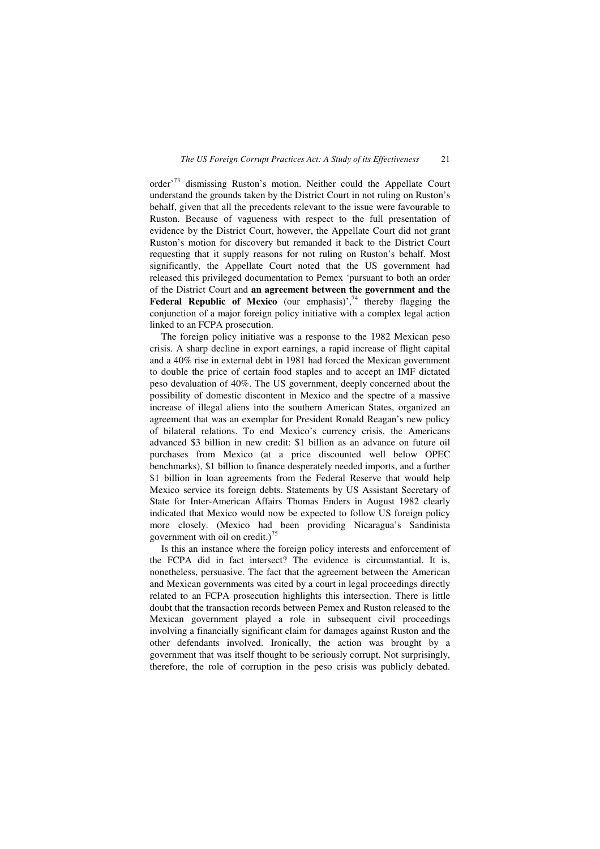order'<sup>73</sup> dismissing Ruston's motion. Neither could the Appellate Court understand the grounds taken by the District Court in not ruling on Ruston's behalf, given that all the precedents relevant to the issue were favourable to Ruston. Because of vagueness with respect to the full presentation of evidence by the District Court, however, the Appellate Court did not grant Ruston's motion for discovery but remanded it back to the District Court requesting that it supply reasons for not ruling on Ruston's behalf. Most significantly, the Appellate Court noted that the US government had released this privileged documentation to Pemex 'pursuant to both an order of the District Court and **an agreement between the government and the** Federal Republic of Mexico (our emphasis)<sup>', 74</sup> thereby flagging the conjunction of a major foreign policy initiative with a complex legal action linked to an FCPA prosecution.

The foreign policy initiative was a response to the 1982 Mexican peso crisis. A sharp decline in export earnings, a rapid increase of flight capital and a 40% rise in external debt in 1981 had forced the Mexican government to double the price of certain food staples and to accept an IMF dictated peso devaluation of 40%. The US government, deeply concerned about the possibility of domestic discontent in Mexico and the spectre of a massive increase of illegal aliens into the southern American States, organized an agreement that was an exemplar for President Ronald Reagan's new policy of bilateral relations. To end Mexico's currency crisis, the Americans advanced \$3 billion in new credit: \$1 billion as an advance on future oil purchases from Mexico (at a price discounted well below OPEC benchmarks), \$1 billion to finance desperately needed imports, and a further \$1 billion in loan agreements from the Federal Reserve that would help Mexico service its foreign debts. Statements by US Assistant Secretary of State for Inter-American Affairs Thomas Enders in August 1982 clearly indicated that Mexico would now be expected to follow US foreign policy more closely. (Mexico had been providing Nicaragua's Sandinista government with oil on credit.)<sup>75</sup>

Is this an instance where the foreign policy interests and enforcement of the FCPA did in fact intersect? The evidence is circumstantial. It is, nonetheless, persuasive. The fact that the agreement between the American and Mexican governments was cited by a court in legal proceedings directly related to an FCPA prosecution highlights this intersection. There is little doubt that the transaction records between Pemex and Ruston released to the Mexican government played a role in subsequent civil proceedings involving a financially significant claim for damages against Ruston and the other defendants involved. Ironically, the action was brought by a government that was itself thought to be seriously corrupt. Not surprisingly, therefore, the role of corruption in the peso crisis was publicly debated.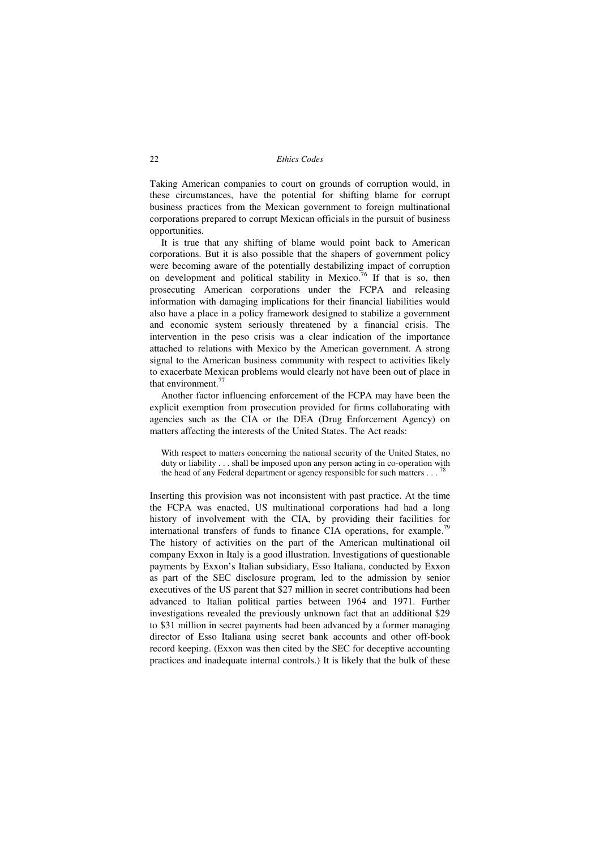Taking American companies to court on grounds of corruption would, in these circumstances, have the potential for shifting blame for corrupt business practices from the Mexican government to foreign multinational corporations prepared to corrupt Mexican officials in the pursuit of business opportunities.

It is true that any shifting of blame would point back to American corporations. But it is also possible that the shapers of government policy were becoming aware of the potentially destabilizing impact of corruption on development and political stability in Mexico.<sup>76</sup> If that is so, then prosecuting American corporations under the FCPA and releasing information with damaging implications for their financial liabilities would also have a place in a policy framework designed to stabilize a government and economic system seriously threatened by a financial crisis. The intervention in the peso crisis was a clear indication of the importance attached to relations with Mexico by the American government. A strong signal to the American business community with respect to activities likely to exacerbate Mexican problems would clearly not have been out of place in that environment.<sup>77</sup>

Another factor influencing enforcement of the FCPA may have been the explicit exemption from prosecution provided for firms collaborating with agencies such as the CIA or the DEA (Drug Enforcement Agency) on matters affecting the interests of the United States. The Act reads:

With respect to matters concerning the national security of the United States, no duty or liability . . . shall be imposed upon any person acting in co-operation with the head of any Federal department or agency responsible for such matters . . . 78

Inserting this provision was not inconsistent with past practice. At the time the FCPA was enacted, US multinational corporations had had a long history of involvement with the CIA, by providing their facilities for international transfers of funds to finance CIA operations, for example.<sup>79</sup> The history of activities on the part of the American multinational oil company Exxon in Italy is a good illustration. Investigations of questionable payments by Exxon's Italian subsidiary, Esso Italiana, conducted by Exxon as part of the SEC disclosure program, led to the admission by senior executives of the US parent that \$27 million in secret contributions had been advanced to Italian political parties between 1964 and 1971. Further investigations revealed the previously unknown fact that an additional \$29 to \$31 million in secret payments had been advanced by a former managing director of Esso Italiana using secret bank accounts and other off-book record keeping. (Exxon was then cited by the SEC for deceptive accounting practices and inadequate internal controls.) It is likely that the bulk of these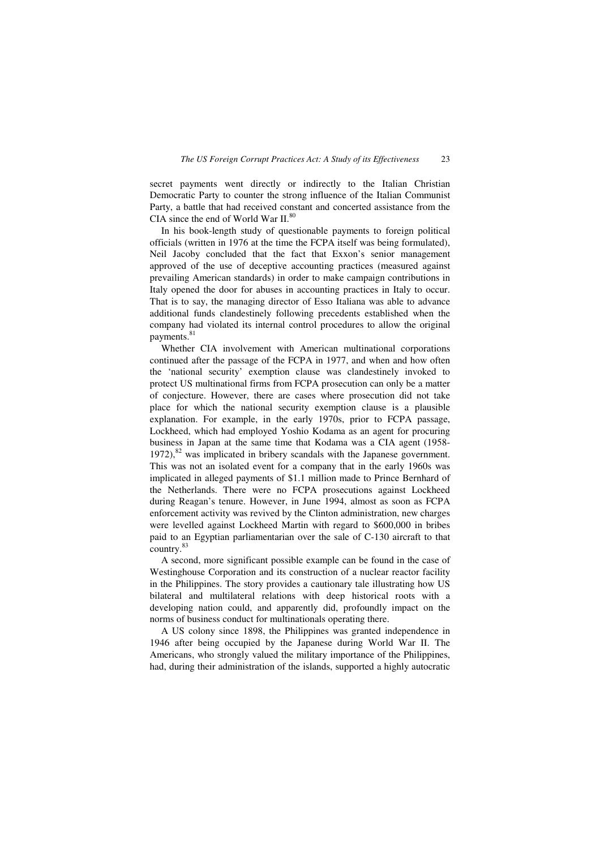secret payments went directly or indirectly to the Italian Christian Democratic Party to counter the strong influence of the Italian Communist Party, a battle that had received constant and concerted assistance from the CIA since the end of World War II.<sup>80</sup>

In his book-length study of questionable payments to foreign political officials (written in 1976 at the time the FCPA itself was being formulated), Neil Jacoby concluded that the fact that Exxon's senior management approved of the use of deceptive accounting practices (measured against prevailing American standards) in order to make campaign contributions in Italy opened the door for abuses in accounting practices in Italy to occur. That is to say, the managing director of Esso Italiana was able to advance additional funds clandestinely following precedents established when the company had violated its internal control procedures to allow the original payments. 81

Whether CIA involvement with American multinational corporations continued after the passage of the FCPA in 1977, and when and how often the 'national security' exemption clause was clandestinely invoked to protect US multinational firms from FCPA prosecution can only be a matter of conjecture. However, there are cases where prosecution did not take place for which the national security exemption clause is a plausible explanation. For example, in the early 1970s, prior to FCPA passage, Lockheed, which had employed Yoshio Kodama as an agent for procuring business in Japan at the same time that Kodama was a CIA agent (1958-  $1972$ ,<sup>82</sup> was implicated in bribery scandals with the Japanese government. This was not an isolated event for a company that in the early 1960s was implicated in alleged payments of \$1.1 million made to Prince Bernhard of the Netherlands. There were no FCPA prosecutions against Lockheed during Reagan's tenure. However, in June 1994, almost as soon as FCPA enforcement activity was revived by the Clinton administration, new charges were levelled against Lockheed Martin with regard to \$600,000 in bribes paid to an Egyptian parliamentarian over the sale of C-130 aircraft to that country. 83

A second, more significant possible example can be found in the case of Westinghouse Corporation and its construction of a nuclear reactor facility in the Philippines. The story provides a cautionary tale illustrating how US bilateral and multilateral relations with deep historical roots with a developing nation could, and apparently did, profoundly impact on the norms of business conduct for multinationals operating there.

A US colony since 1898, the Philippines was granted independence in 1946 after being occupied by the Japanese during World War II. The Americans, who strongly valued the military importance of the Philippines, had, during their administration of the islands, supported a highly autocratic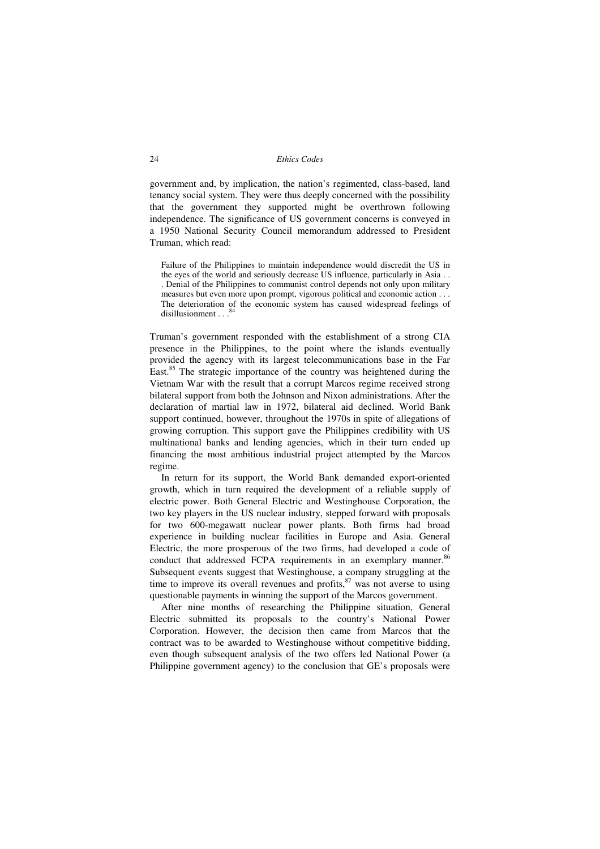government and, by implication, the nation's regimented, class-based, land tenancy social system. They were thus deeply concerned with the possibility that the government they supported might be overthrown following independence. The significance of US government concerns is conveyed in a 1950 National Security Council memorandum addressed to President Truman, which read:

Failure of the Philippines to maintain independence would discredit the US in the eyes of the world and seriously decrease US influence, particularly in Asia . . . Denial of the Philippines to communist control depends not only upon military measures but even more upon prompt, vigorous political and economic action . . . The deterioration of the economic system has caused widespread feelings of disillusionment disillusionment . . .

Truman's government responded with the establishment of a strong CIA presence in the Philippines, to the point where the islands eventually provided the agency with its largest telecommunications base in the Far East.<sup>85</sup> The strategic importance of the country was heightened during the Vietnam War with the result that a corrupt Marcos regime received strong bilateral support from both the Johnson and Nixon administrations. After the declaration of martial law in 1972, bilateral aid declined. World Bank support continued, however, throughout the 1970s in spite of allegations of growing corruption. This support gave the Philippines credibility with US multinational banks and lending agencies, which in their turn ended up financing the most ambitious industrial project attempted by the Marcos regime.

In return for its support, the World Bank demanded export-oriented growth, which in turn required the development of a reliable supply of electric power. Both General Electric and Westinghouse Corporation, the two key players in the US nuclear industry, stepped forward with proposals for two 600-megawatt nuclear power plants. Both firms had broad experience in building nuclear facilities in Europe and Asia. General Electric, the more prosperous of the two firms, had developed a code of conduct that addressed FCPA requirements in an exemplary manner.<sup>86</sup> Subsequent events suggest that Westinghouse, a company struggling at the time to improve its overall revenues and profits, $^{87}$  was not averse to using questionable payments in winning the support of the Marcos government.

After nine months of researching the Philippine situation, General Electric submitted its proposals to the country's National Power Corporation. However, the decision then came from Marcos that the contract was to be awarded to Westinghouse without competitive bidding, even though subsequent analysis of the two offers led National Power (a Philippine government agency) to the conclusion that GE's proposals were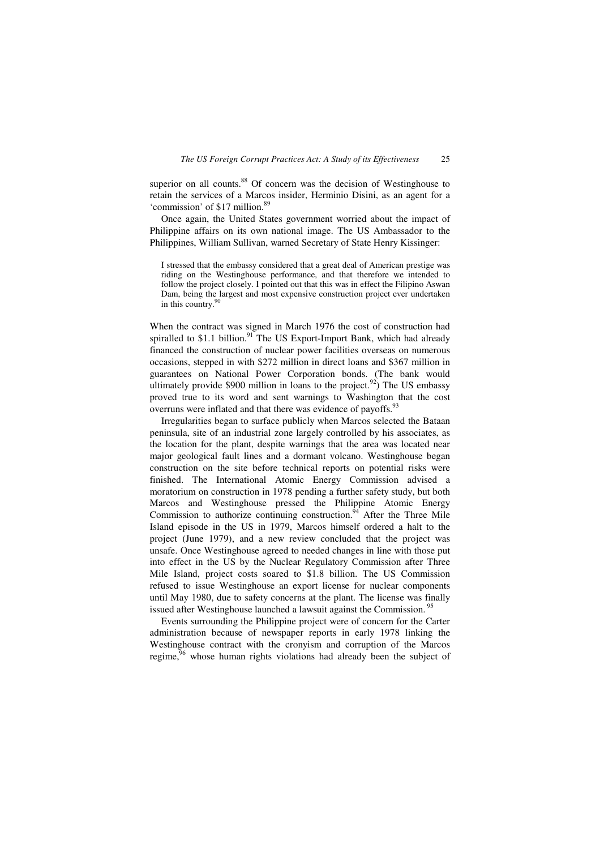superior on all counts.<sup>88</sup> Of concern was the decision of Westinghouse to retain the services of a Marcos insider, Herminio Disini, as an agent for a 'commission' of \$17 million. 89

Once again, the United States government worried about the impact of Philippine affairs on its own national image. The US Ambassador to the Philippines, William Sullivan, warned Secretary of State Henry Kissinger:

I stressed that the embassy considered that a great deal of American prestige was riding on the Westinghouse performance, and that therefore we intended to follow the project closely. I pointed out that this was in effect the Filipino Aswan Dam, being the largest and most expensive construction project ever undertaken in this country. 90

When the contract was signed in March 1976 the cost of construction had spiralled to \$1.1 billion.<sup>91</sup> The US Export-Import Bank, which had already financed the construction of nuclear power facilities overseas on numerous occasions, stepped in with \$272 million in direct loans and \$367 million in guarantees on National Power Corporation bonds. (The bank would ultimately provide \$900 million in loans to the project.<sup>92</sup>) The US embassy proved true to its word and sent warnings to Washington that the cost overruns were inflated and that there was evidence of payoffs.<sup>93</sup>

Irregularities began to surface publicly when Marcos selected the Bataan peninsula, site of an industrial zone largely controlled by his associates, as the location for the plant, despite warnings that the area was located near major geological fault lines and a dormant volcano. Westinghouse began construction on the site before technical reports on potential risks were finished. The International Atomic Energy Commission advised a moratorium on construction in 1978 pending a further safety study, but both Marcos and Westinghouse pressed the Philippine Atomic Energy Commission to authorize continuing construction.<sup>94</sup> After the Three Mile Island episode in the US in 1979, Marcos himself ordered a halt to the project (June 1979), and a new review concluded that the project was unsafe. Once Westinghouse agreed to needed changes in line with those put into effect in the US by the Nuclear Regulatory Commission after Three Mile Island, project costs soared to \$1.8 billion. The US Commission refused to issue Westinghouse an export license for nuclear components until May 1980, due to safety concerns at the plant. The license was finally issued after Westinghouse launched a lawsuit against the Commission.<sup>95</sup>

Events surrounding the Philippine project were of concern for the Carter administration because of newspaper reports in early 1978 linking the Westinghouse contract with the cronyism and corruption of the Marcos regime,<sup>96</sup> whose human rights violations had already been the subject of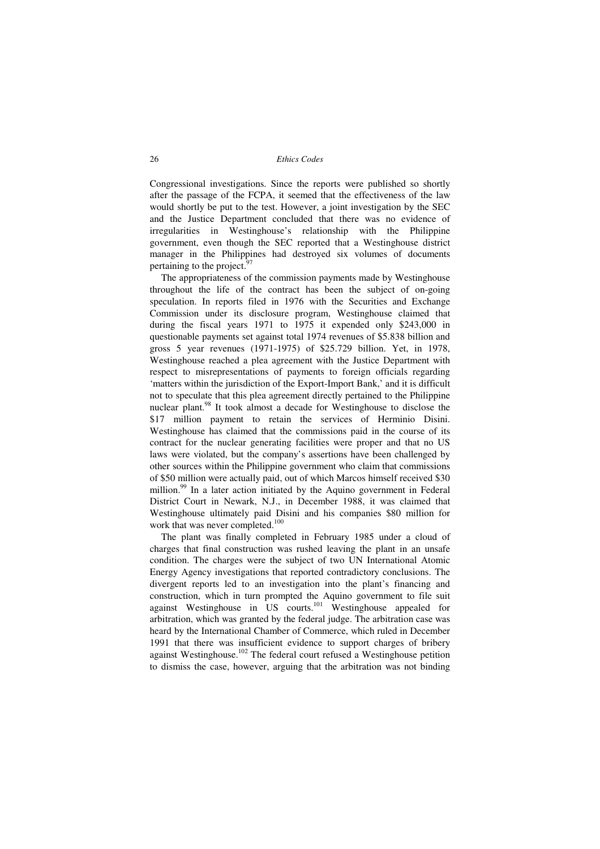Congressional investigations. Since the reports were published so shortly after the passage of the FCPA, it seemed that the effectiveness of the law would shortly be put to the test. However, a joint investigation by the SEC and the Justice Department concluded that there was no evidence of irregularities in Westinghouse's relationship with the Philippine government, even though the SEC reported that a Westinghouse district manager in the Philippines had destroyed six volumes of documents pertaining to the project.<sup>97</sup>

The appropriateness of the commission payments made by Westinghouse throughout the life of the contract has been the subject of on-going speculation. In reports filed in 1976 with the Securities and Exchange Commission under its disclosure program, Westinghouse claimed that during the fiscal years 1971 to 1975 it expended only \$243,000 in questionable payments set against total 1974 revenues of \$5.838 billion and gross 5 year revenues (1971-1975) of \$25.729 billion. Yet, in 1978, Westinghouse reached a plea agreement with the Justice Department with respect to misrepresentations of payments to foreign officials regarding 'matters within the jurisdiction of the Export-Import Bank,' and it is difficult not to speculate that this plea agreement directly pertained to the Philippine nuclear plant.<sup>98</sup> It took almost a decade for Westinghouse to disclose the \$17 million payment to retain the services of Herminio Disini. Westinghouse has claimed that the commissions paid in the course of its contract for the nuclear generating facilities were proper and that no US laws were violated, but the company's assertions have been challenged by other sources within the Philippine government who claim that commissions of \$50 million were actually paid, out of which Marcos himself received \$30 million.<sup>99</sup> In a later action initiated by the Aquino government in Federal District Court in Newark, N.J., in December 1988, it was claimed that Westinghouse ultimately paid Disini and his companies \$80 million for work that was never completed.<sup>100</sup>

The plant was finally completed in February 1985 under a cloud of charges that final construction was rushed leaving the plant in an unsafe condition. The charges were the subject of two UN International Atomic Energy Agency investigations that reported contradictory conclusions. The divergent reports led to an investigation into the plant's financing and construction, which in turn prompted the Aquino government to file suit against Westinghouse in US courts.<sup>101</sup> Westinghouse appealed for arbitration, which was granted by the federal judge. The arbitration case was heard by the International Chamber of Commerce, which ruled in December 1991 that there was insufficient evidence to support charges of bribery against Westinghouse.<sup>102</sup> The federal court refused a Westinghouse petition to dismiss the case, however, arguing that the arbitration was not binding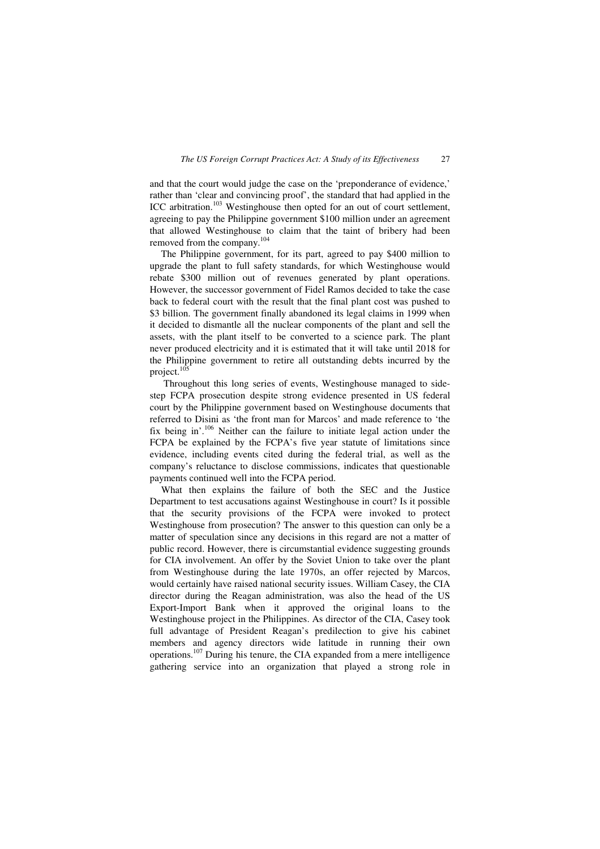and that the court would judge the case on the 'preponderance of evidence,' rather than 'clear and convincing proof', the standard that had applied in the ICC arbitration.<sup>103</sup> Westinghouse then opted for an out of court settlement, agreeing to pay the Philippine government \$100 million under an agreement that allowed Westinghouse to claim that the taint of bribery had been removed from the company.<sup>104</sup>

The Philippine government, for its part, agreed to pay \$400 million to upgrade the plant to full safety standards, for which Westinghouse would rebate \$300 million out of revenues generated by plant operations. However, the successor government of Fidel Ramos decided to take the case back to federal court with the result that the final plant cost was pushed to \$3 billion. The government finally abandoned its legal claims in 1999 when it decided to dismantle all the nuclear components of the plant and sell the assets, with the plant itself to be converted to a science park. The plant never produced electricity and it is estimated that it will take until 2018 for the Philippine government to retire all outstanding debts incurred by the project.<sup>105</sup>

Throughout this long series of events, Westinghouse managed to sidestep FCPA prosecution despite strong evidence presented in US federal court by the Philippine government based on Westinghouse documents that referred to Disini as 'the front man for Marcos' and made reference to 'the fix being in'.<sup>106</sup> Neither can the failure to initiate legal action under the FCPA be explained by the FCPA's five year statute of limitations since evidence, including events cited during the federal trial, as well as the company's reluctance to disclose commissions, indicates that questionable payments continued well into the FCPA period.

What then explains the failure of both the SEC and the Justice Department to test accusations against Westinghouse in court? Is it possible that the security provisions of the FCPA were invoked to protect Westinghouse from prosecution? The answer to this question can only be a matter of speculation since any decisions in this regard are not a matter of public record. However, there is circumstantial evidence suggesting grounds for CIA involvement. An offer by the Soviet Union to take over the plant from Westinghouse during the late 1970s, an offer rejected by Marcos, would certainly have raised national security issues. William Casey, the CIA director during the Reagan administration, was also the head of the US Export-Import Bank when it approved the original loans to the Westinghouse project in the Philippines. As director of the CIA, Casey took full advantage of President Reagan's predilection to give his cabinet members and agency directors wide latitude in running their own operations.<sup>107</sup> During his tenure, the CIA expanded from a mere intelligence gathering service into an organization that played a strong role in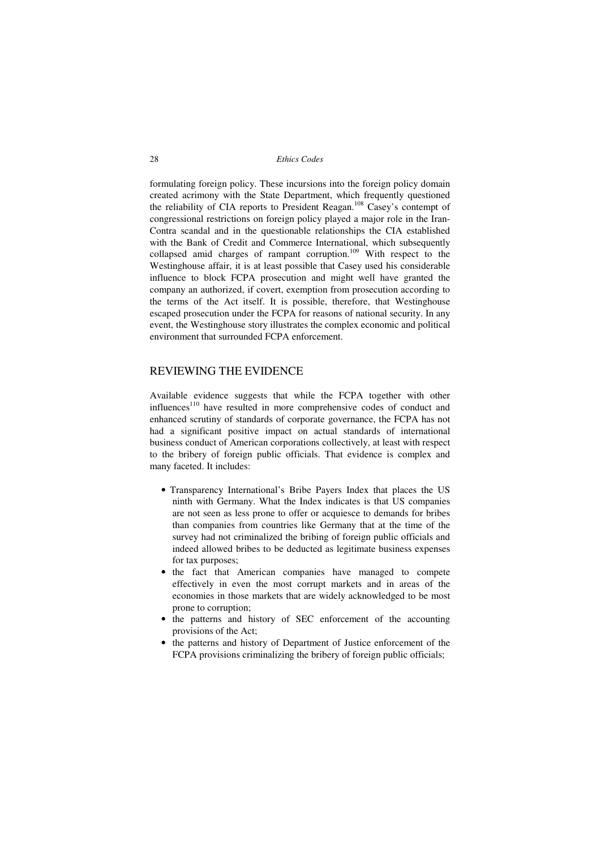formulating foreign policy. These incursions into the foreign policy domain created acrimony with the State Department, which frequently questioned the reliability of CIA reports to President Reagan.<sup>108</sup> Casey's contempt of congressional restrictions on foreign policy played a major role in the Iran-Contra scandal and in the questionable relationships the CIA established with the Bank of Credit and Commerce International, which subsequently collapsed amid charges of rampant corruption.<sup>109</sup> With respect to the Westinghouse affair, it is at least possible that Casey used his considerable influence to block FCPA prosecution and might well have granted the company an authorized, if covert, exemption from prosecution according to the terms of the Act itself. It is possible, therefore, that Westinghouse escaped prosecution under the FCPA for reasons of national security. In any event, the Westinghouse story illustrates the complex economic and political environment that surrounded FCPA enforcement.

# REVIEWING THE EVIDENCE

Available evidence suggests that while the FCPA together with other influences<sup>110</sup> have resulted in more comprehensive codes of conduct and enhanced scrutiny of standards of corporate governance, the FCPA has not had a significant positive impact on actual standards of international business conduct of American corporations collectively, at least with respect to the bribery of foreign public officials. That evidence is complex and many faceted. It includes:

- Transparency International's Bribe Payers Index that places the US ninth with Germany. What the Index indicates is that US companies are not seen as less prone to offer or acquiesce to demands for bribes than companies from countries like Germany that at the time of the survey had not criminalized the bribing of foreign public officials and indeed allowed bribes to be deducted as legitimate business expenses for tax purposes;
- the fact that American companies have managed to compete effectively in even the most corrupt markets and in areas of the economies in those markets that are widely acknowledged to be most prone to corruption;
- the patterns and history of SEC enforcement of the accounting provisions of the Act;
- the patterns and history of Department of Justice enforcement of the FCPA provisions criminalizing the bribery of foreign public officials;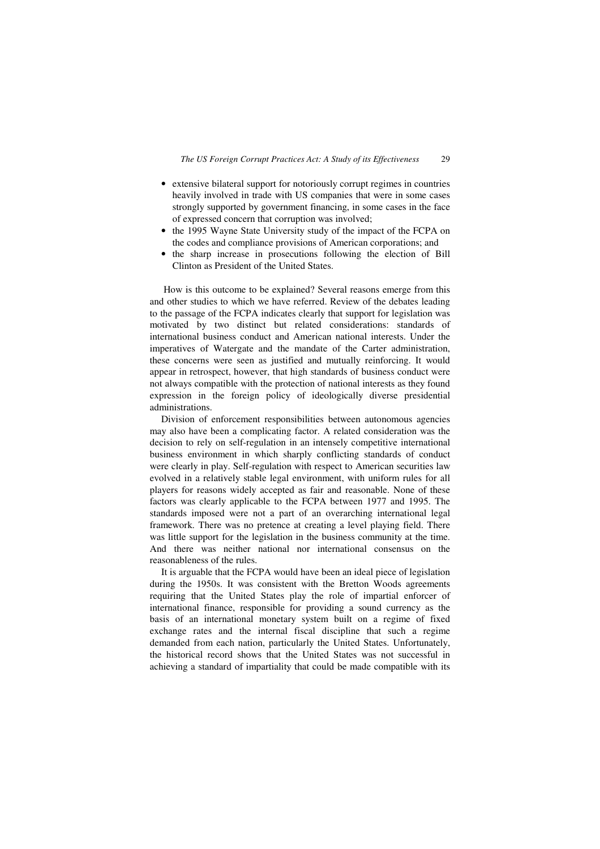- extensive bilateral support for notoriously corrupt regimes in countries heavily involved in trade with US companies that were in some cases strongly supported by government financing, in some cases in the face of expressed concern that corruption was involved;
- the 1995 Wayne State University study of the impact of the FCPA on the codes and compliance provisions of American corporations; and
- the sharp increase in prosecutions following the election of Bill Clinton as President of the United States.

How is this outcome to be explained? Several reasons emerge from this and other studies to which we have referred. Review of the debates leading to the passage of the FCPA indicates clearly that support for legislation was motivated by two distinct but related considerations: standards of international business conduct and American national interests. Under the imperatives of Watergate and the mandate of the Carter administration, these concerns were seen as justified and mutually reinforcing. It would appear in retrospect, however, that high standards of business conduct were not always compatible with the protection of national interests as they found expression in the foreign policy of ideologically diverse presidential administrations.

Division of enforcement responsibilities between autonomous agencies may also have been a complicating factor. A related consideration was the decision to rely on self-regulation in an intensely competitive international business environment in which sharply conflicting standards of conduct were clearly in play. Self-regulation with respect to American securities law evolved in a relatively stable legal environment, with uniform rules for all players for reasons widely accepted as fair and reasonable. None of these factors was clearly applicable to the FCPA between 1977 and 1995. The standards imposed were not a part of an overarching international legal framework. There was no pretence at creating a level playing field. There was little support for the legislation in the business community at the time. And there was neither national nor international consensus on the reasonableness of the rules.

It is arguable that the FCPA would have been an ideal piece of legislation during the 1950s. It was consistent with the Bretton Woods agreements requiring that the United States play the role of impartial enforcer of international finance, responsible for providing a sound currency as the basis of an international monetary system built on a regime of fixed exchange rates and the internal fiscal discipline that such a regime demanded from each nation, particularly the United States. Unfortunately, the historical record shows that the United States was not successful in achieving a standard of impartiality that could be made compatible with its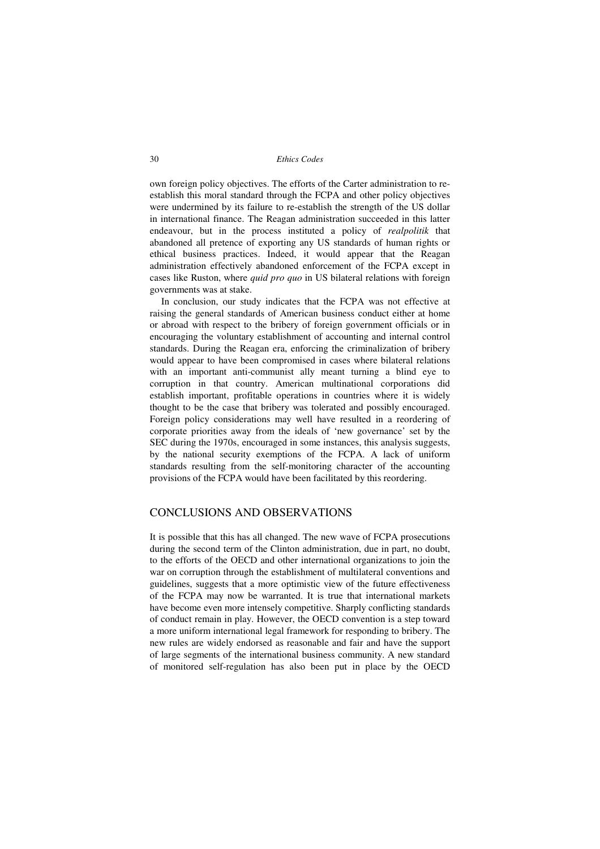own foreign policy objectives. The efforts of the Carter administration to reestablish this moral standard through the FCPA and other policy objectives were undermined by its failure to re-establish the strength of the US dollar in international finance. The Reagan administration succeeded in this latter endeavour, but in the process instituted a policy of *realpolitik* that abandoned all pretence of exporting any US standards of human rights or ethical business practices. Indeed, it would appear that the Reagan administration effectively abandoned enforcement of the FCPA except in cases like Ruston, where *quid pro quo* in US bilateral relations with foreign governments was at stake.

In conclusion, our study indicates that the FCPA was not effective at raising the general standards of American business conduct either at home or abroad with respect to the bribery of foreign government officials or in encouraging the voluntary establishment of accounting and internal control standards. During the Reagan era, enforcing the criminalization of bribery would appear to have been compromised in cases where bilateral relations with an important anti-communist ally meant turning a blind eye to corruption in that country. American multinational corporations did establish important, profitable operations in countries where it is widely thought to be the case that bribery was tolerated and possibly encouraged. Foreign policy considerations may well have resulted in a reordering of corporate priorities away from the ideals of 'new governance' set by the SEC during the 1970s, encouraged in some instances, this analysis suggests, by the national security exemptions of the FCPA. A lack of uniform standards resulting from the self-monitoring character of the accounting provisions of the FCPA would have been facilitated by this reordering.

# CONCLUSIONS AND OBSERVATIONS

It is possible that this has all changed. The new wave of FCPA prosecutions during the second term of the Clinton administration, due in part, no doubt, to the efforts of the OECD and other international organizations to join the war on corruption through the establishment of multilateral conventions and guidelines, suggests that a more optimistic view of the future effectiveness of the FCPA may now be warranted. It is true that international markets have become even more intensely competitive. Sharply conflicting standards of conduct remain in play. However, the OECD convention is a step toward a more uniform international legal framework for responding to bribery. The new rules are widely endorsed as reasonable and fair and have the support of large segments of the international business community. A new standard of monitored self-regulation has also been put in place by the OECD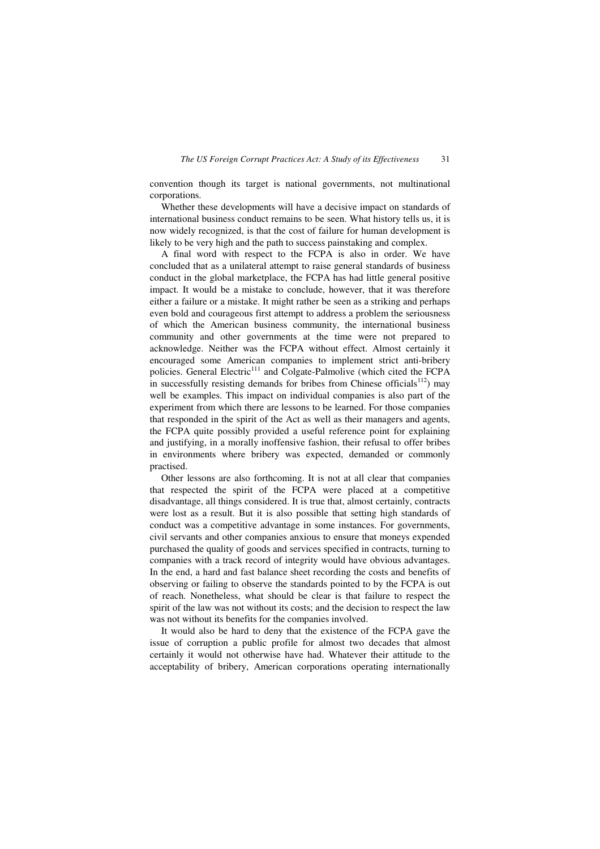convention though its target is national governments, not multinational corporations.

Whether these developments will have a decisive impact on standards of international business conduct remains to be seen. What history tells us, it is now widely recognized, is that the cost of failure for human development is likely to be very high and the path to success painstaking and complex.

A final word with respect to the FCPA is also in order. We have concluded that as a unilateral attempt to raise general standards of business conduct in the global marketplace, the FCPA has had little general positive impact. It would be a mistake to conclude, however, that it was therefore either a failure or a mistake. It might rather be seen as a striking and perhaps even bold and courageous first attempt to address a problem the seriousness of which the American business community, the international business community and other governments at the time were not prepared to acknowledge. Neither was the FCPA without effect. Almost certainly it encouraged some American companies to implement strict anti-bribery policies. General Electric<sup>111</sup> and Colgate-Palmolive (which cited the FCPA in successfully resisting demands for bribes from Chinese officials<sup>112</sup>) may well be examples. This impact on individual companies is also part of the experiment from which there are lessons to be learned. For those companies that responded in the spirit of the Act as well as their managers and agents, the FCPA quite possibly provided a useful reference point for explaining and justifying, in a morally inoffensive fashion, their refusal to offer bribes in environments where bribery was expected, demanded or commonly practised.

Other lessons are also forthcoming. It is not at all clear that companies that respected the spirit of the FCPA were placed at a competitive disadvantage, all things considered. It is true that, almost certainly, contracts were lost as a result. But it is also possible that setting high standards of conduct was a competitive advantage in some instances. For governments, civil servants and other companies anxious to ensure that moneys expended purchased the quality of goods and services specified in contracts, turning to companies with a track record of integrity would have obvious advantages. In the end, a hard and fast balance sheet recording the costs and benefits of observing or failing to observe the standards pointed to by the FCPA is out of reach. Nonetheless, what should be clear is that failure to respect the spirit of the law was not without its costs; and the decision to respect the law was not without its benefits for the companies involved.

It would also be hard to deny that the existence of the FCPA gave the issue of corruption a public profile for almost two decades that almost certainly it would not otherwise have had. Whatever their attitude to the acceptability of bribery, American corporations operating internationally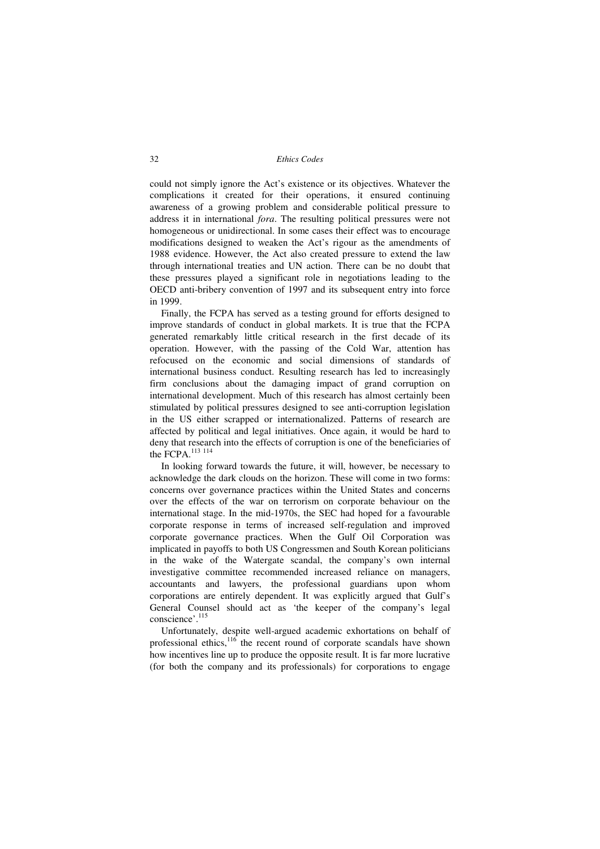could not simply ignore the Act's existence or its objectives. Whatever the complications it created for their operations, it ensured continuing awareness of a growing problem and considerable political pressure to address it in international *fora*. The resulting political pressures were not homogeneous or unidirectional. In some cases their effect was to encourage modifications designed to weaken the Act's rigour as the amendments of 1988 evidence. However, the Act also created pressure to extend the law through international treaties and UN action. There can be no doubt that these pressures played a significant role in negotiations leading to the OECD anti-bribery convention of 1997 and its subsequent entry into force in 1999.

Finally, the FCPA has served as a testing ground for efforts designed to improve standards of conduct in global markets. It is true that the FCPA generated remarkably little critical research in the first decade of its operation. However, with the passing of the Cold War, attention has refocused on the economic and social dimensions of standards of international business conduct. Resulting research has led to increasingly firm conclusions about the damaging impact of grand corruption on international development. Much of this research has almost certainly been stimulated by political pressures designed to see anti-corruption legislation in the US either scrapped or internationalized. Patterns of research are affected by political and legal initiatives. Once again, it would be hard to deny that research into the effects of corruption is one of the beneficiaries of the FCPA. $^{113}$   $^{114}$ 

In looking forward towards the future, it will, however, be necessary to acknowledge the dark clouds on the horizon. These will come in two forms: concerns over governance practices within the United States and concerns over the effects of the war on terrorism on corporate behaviour on the international stage. In the mid-1970s, the SEC had hoped for a favourable corporate response in terms of increased self-regulation and improved corporate governance practices. When the Gulf Oil Corporation was implicated in payoffs to both US Congressmen and South Korean politicians in the wake of the Watergate scandal, the company's own internal investigative committee recommended increased reliance on managers, accountants and lawyers, the professional guardians upon whom corporations are entirely dependent. It was explicitly argued that Gulf's General Counsel should act as 'the keeper of the company's legal conscience'. 115

Unfortunately, despite well-argued academic exhortations on behalf of professional ethics, <sup>116</sup> the recent round of corporate scandals have shown how incentives line up to produce the opposite result. It is far more lucrative (for both the company and its professionals) for corporations to engage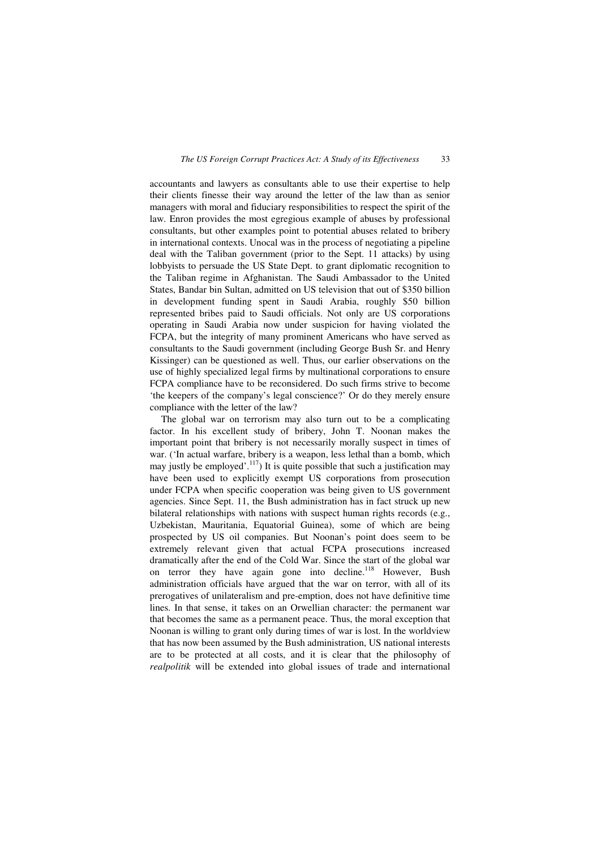accountants and lawyers as consultants able to use their expertise to help their clients finesse their way around the letter of the law than as senior managers with moral and fiduciary responsibilities to respect the spirit of the law. Enron provides the most egregious example of abuses by professional consultants, but other examples point to potential abuses related to bribery in international contexts. Unocal was in the process of negotiating a pipeline deal with the Taliban government (prior to the Sept. 11 attacks) by using lobbyists to persuade the US State Dept. to grant diplomatic recognition to the Taliban regime in Afghanistan. The Saudi Ambassador to the United States, Bandar bin Sultan, admitted on US television that out of \$350 billion in development funding spent in Saudi Arabia, roughly \$50 billion represented bribes paid to Saudi officials. Not only are US corporations operating in Saudi Arabia now under suspicion for having violated the FCPA, but the integrity of many prominent Americans who have served as consultants to the Saudi government (including George Bush Sr. and Henry Kissinger) can be questioned as well. Thus, our earlier observations on the use of highly specialized legal firms by multinational corporations to ensure FCPA compliance have to be reconsidered. Do such firms strive to become 'the keepers of the company's legal conscience?' Or do they merely ensure compliance with the letter of the law?

The global war on terrorism may also turn out to be a complicating factor. In his excellent study of bribery, John T. Noonan makes the important point that bribery is not necessarily morally suspect in times of war. ('In actual warfare, bribery is a weapon, less lethal than a bomb, which may justly be employed'.<sup>117</sup>) It is quite possible that such a justification may have been used to explicitly exempt US corporations from prosecution under FCPA when specific cooperation was being given to US government agencies. Since Sept. 11, the Bush administration has in fact struck up new bilateral relationships with nations with suspect human rights records (e.g., Uzbekistan, Mauritania, Equatorial Guinea), some of which are being prospected by US oil companies. But Noonan's point does seem to be extremely relevant given that actual FCPA prosecutions increased dramatically after the end of the Cold War. Since the start of the global war on terror they have again gone into decline.<sup>118</sup> However, Bush administration officials have argued that the war on terror, with all of its prerogatives of unilateralism and pre-emption, does not have definitive time lines. In that sense, it takes on an Orwellian character: the permanent war that becomes the same as a permanent peace. Thus, the moral exception that Noonan is willing to grant only during times of war is lost. In the worldview that has now been assumed by the Bush administration, US national interests are to be protected at all costs, and it is clear that the philosophy of *realpolitik* will be extended into global issues of trade and international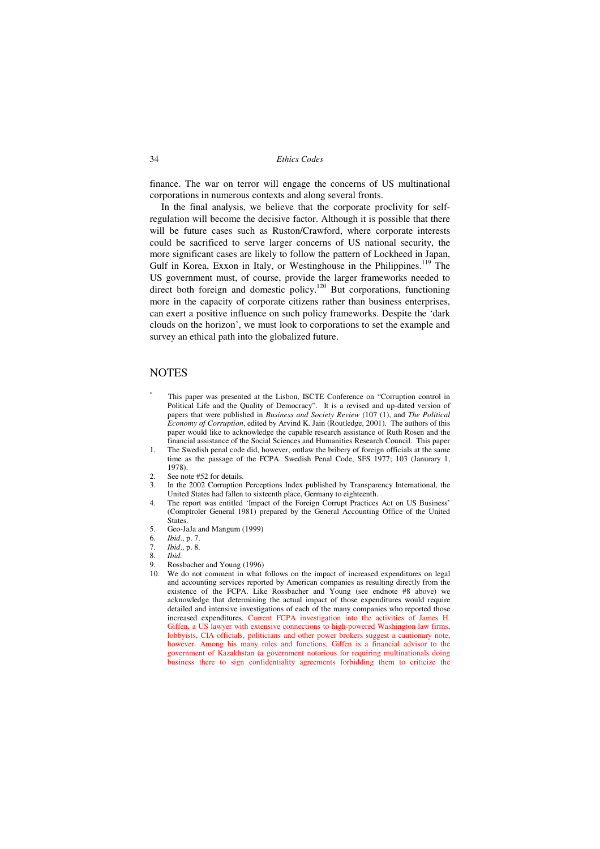finance. The war on terror will engage the concerns of US multinational corporations in numerous contexts and along several fronts.

In the final analysis, we believe that the corporate proclivity for selfregulation will become the decisive factor. Although it is possible that there will be future cases such as Ruston/Crawford, where corporate interests could be sacrificed to serve larger concerns of US national security, the more significant cases are likely to follow the pattern of Lockheed in Japan, Gulf in Korea, Exxon in Italy, or Westinghouse in the Philippines.<sup>119</sup> The US government must, of course, provide the larger frameworks needed to direct both foreign and domestic policy.<sup>120</sup> But corporations, functioning more in the capacity of corporate citizens rather than business enterprises, can exert a positive influence on such policy frameworks. Despite the 'dark clouds on the horizon', we must look to corporations to set the example and survey an ethical path into the globalized future.

# **NOTES**

- \* This paper was presented at the Lisbon, ISCTE Conference on "Corruption control in Political Life and the Quality of Democracy". It is a revised and up-dated version of papers that were published in *Business and Society Review* (107 (1), and *The Political Economy of Corruption*, edited by Arvind K. Jain (Routledge, 2001). The authors of this paper would like to acknowledge the capable research assistance of Ruth Rosen and the financial assistance of the Social Sciences and Humanities Research Council. This paper
- 1. The Swedish penal code did, however, outlaw the bribery of foreign officials at the same time as the passage of the FCPA. Swedish Penal Code, SFS 1977; 103 (Janurary 1, 1978).
- 2. See note #52 for details.<br>3 In the 2002 Corruption
- In the 2002 Corruption Perceptions Index published by Transparency International, the United States had fallen to sixteenth place, Germany to eighteenth.
- 4. The report was entitled 'Impact of the Foreign Corrupt Practices Act on US Business' (Comptroler General 1981) prepared by the General Accounting Office of the United States.
- 5. Geo-JaJa and Mangum (1999)<br>6. *Ibid.*, p. 7.
- 6. *Ibid*., p. 7.
- 7. *Ibid*., p. 8.
- 8. *Ibid.*
- 9. Rossbacher and Young (1996)<br>10 We do not comment in what
- We do not comment in what follows on the impact of increased expenditures on legal and accounting services reported by American companies as resulting directly from the existence of the FCPA. Like Rossbacher and Young (see endnote #8 above) we acknowledge that determining the actual impact of those expenditures would require detailed and intensive investigations of each of the many companies who reported those increased expenditures. Current FCPA investigation into the activities of James H. Giffen, a US lawyer with extensive connections to high-powered Washington law firms, lobbyists, CIA officials, politicians and other power brokers suggest a cautionary note, however. Among his many roles and functions, Giffen is a financial advisor to the government of Kazakhstan (a government notorious for requiring multinationals doing business there to sign confidentiality agreements forbidding them to criticize the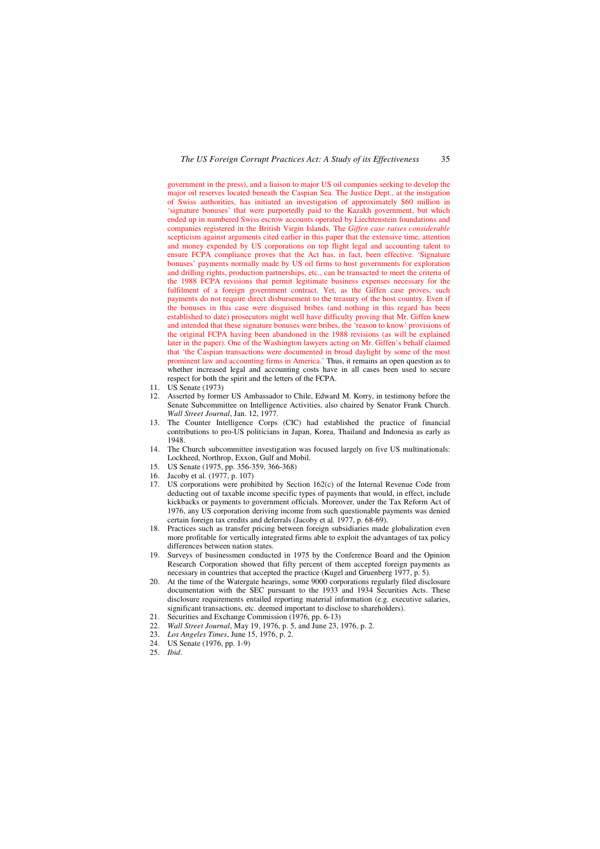government in the press), and a liaison to major US oil companies seeking to develop the major oil reserves located beneath the Caspian Sea. The Justice Dept., at the instigation of Swiss authorities, has initiated an investigation of approximately \$60 million in 'signature bonuses' that were purportedly paid to the Kazakh government, but which ended up in numbered Swiss escrow accounts operated by Liechtenstein foundations and companies registered in the British Virgin Islands. The *Giffen case raises considerable* scepticism against arguments cited earlier in this paper that the extensive time, attention and money expended by US corporations on top flight legal and accounting talent to ensure FCPA compliance proves that the Act has, in fact, been effective. 'Signature bonuses' payments normally made by US oil firms to host governments for exploration and drilling rights, production partnerships, etc., can be transacted to meet the criteria of the 1988 FCPA revisions that permit legitimate business expenses necessary for the fulfilment of a foreign government contract. Yet, as the Giffen case proves, such payments do not require direct disbursement to the treasury of the host country. Even if the bonuses in this case were disguised bribes (and nothing in this regard has been established to date) prosecutors might well have difficulty proving that Mr. Giffen knew and intended that these signature bonuses were bribes, the 'reason to know' provisions of the original FCPA having been abandoned in the 1988 revisions (as will be explained later in the paper). One of the Washington lawyers acting on Mr. Giffen's behalf claimed that 'the Caspian transactions were documented in broad daylight by some of the most prominent law and accounting firms in America.' Thus, it remains an open question as to whether increased legal and accounting costs have in all cases been used to secure respect for both the spirit and the letters of the FCPA.

- 11. US Senate (1973)
- 12. Asserted by former US Ambassador to Chile, Edward M. Korry, in testimony before the Senate Subcommittee on Intelligence Activities, also chaired by Senator Frank Church. *Wall Street Journal*, Jan. 12, 1977.
- 13. The Counter Intelligence Corps (CIC) had established the practice of financial contributions to pro-US politicians in Japan, Korea, Thailand and Indonesia as early as 1948.
- 14. The Church subcommittee investigation was focused largely on five US multinationals: Lockheed, Northrop, Exxon, Gulf and Mobil.
- 15. US Senate (1975, pp. 356-359, 366-368)
- 16. Jacoby et al.  $(1977, p. 107)$ <br>17 US corporations were prob-
- US corporations were prohibited by Section 162(c) of the Internal Revenue Code from deducting out of taxable income specific types of payments that would, in effect, include kickbacks or payments to government officials. Moreover, under the Tax Reform Act of 1976, any US corporation deriving income from such questionable payments was denied certain foreign tax credits and deferrals (Jacoby et al*.* 1977, p. 68-69).
- 18. Practices such as transfer pricing between foreign subsidiaries made globalization even more profitable for vertically integrated firms able to exploit the advantages of tax policy differences between nation states.
- 19. Surveys of businessmen conducted in 1975 by the Conference Board and the Opinion Research Corporation showed that fifty percent of them accepted foreign payments as necessary in countries that accepted the practice (Kugel and Gruenberg 1977, p. 5).
- 20. At the time of the Watergate hearings, some 9000 corporations regularly filed disclosure documentation with the SEC pursuant to the 1933 and 1934 Securities Acts. These disclosure requirements entailed reporting material information (e.g. executive salaries, significant transactions, etc. deemed important to disclose to shareholders).
- 21. Securities and Exchange Commission (1976, pp. 6-13)
- 22. *Wall Street Journal*, May 19, 1976, p. 5, and June 23, 1976, p. 2.
- 23. *Los Angeles Times*, June 15, 1976, p. 2.
- 24. US Senate (1976, pp. 1-9)
- 25. *Ibid*.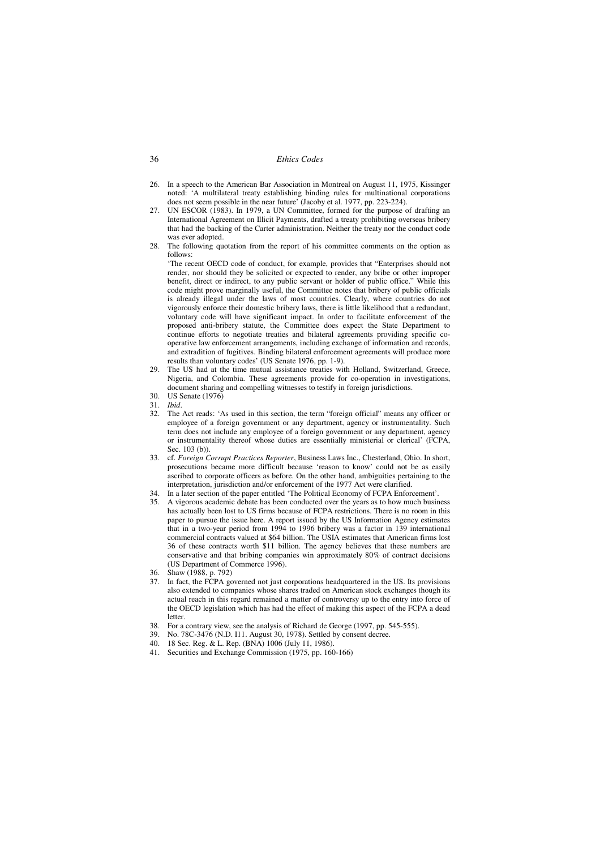- 26. In a speech to the American Bar Association in Montreal on August 11, 1975, Kissinger noted: 'A multilateral treaty establishing binding rules for multinational corporations does not seem possible in the near future' (Jacoby et al. 1977, pp. 223-224).
- 27. UN ESCOR (1983). In 1979, a UN Committee, formed for the purpose of drafting an International Agreement on Illicit Payments, drafted a treaty prohibiting overseas bribery that had the backing of the Carter administration. Neither the treaty nor the conduct code was ever adopted.
- 28. The following quotation from the report of his committee comments on the option as follows:

'The recent OECD code of conduct, for example, provides that "Enterprises should not render, nor should they be solicited or expected to render, any bribe or other improper benefit, direct or indirect, to any public servant or holder of public office." While this code might prove marginally useful, the Committee notes that bribery of public officials is already illegal under the laws of most countries. Clearly, where countries do not vigorously enforce their domestic bribery laws, there is little likelihood that a redundant, voluntary code will have significant impact. In order to facilitate enforcement of the proposed anti-bribery statute, the Committee does expect the State Department to continue efforts to negotiate treaties and bilateral agreements providing specific cooperative law enforcement arrangements, including exchange of information and records, and extradition of fugitives. Binding bilateral enforcement agreements will produce more results than voluntary codes' (US Senate 1976, pp. 1-9).

- 29. The US had at the time mutual assistance treaties with Holland, Switzerland, Greece, Nigeria, and Colombia. These agreements provide for co-operation in investigations, document sharing and compelling witnesses to testify in foreign jurisdictions.
- 30. US Senate (1976)
- 31. *Ibid*.
- 32. The Act reads: 'As used in this section, the term "foreign official" means any officer or employee of a foreign government or any department, agency or instrumentality. Such term does not include any employee of a foreign government or any department, agency or instrumentality thereof whose duties are essentially ministerial or clerical' (FCPA, Sec. 103 (b)).
- 33. cf. *Foreign Corrupt Practices Reporter*, Business Laws Inc., Chesterland, Ohio. In short, prosecutions became more difficult because 'reason to know' could not be as easily ascribed to corporate officers as before. On the other hand, ambiguities pertaining to the interpretation, jurisdiction and/or enforcement of the 1977 Act were clarified.
- 34. In a later section of the paper entitled 'The Political Economy of FCPA Enforcement'.
- 35. A vigorous academic debate has been conducted over the years as to how much business has actually been lost to US firms because of FCPA restrictions. There is no room in this paper to pursue the issue here. A report issued by the US Information Agency estimates that in a two-year period from 1994 to 1996 bribery was a factor in 139 international commercial contracts valued at \$64 billion. The USIA estimates that American firms lost 36 of these contracts worth \$11 billion. The agency believes that these numbers are conservative and that bribing companies win approximately 80% of contract decisions (US Department of Commerce 1996).
- 36. Shaw (1988, p. 792)
- 37. In fact, the FCPA governed not just corporations headquartered in the US. Its provisions also extended to companies whose shares traded on American stock exchanges though its actual reach in this regard remained a matter of controversy up to the entry into force of the OECD legislation which has had the effect of making this aspect of the FCPA a dead letter.
- 38. For a contrary view, see the analysis of Richard de George (1997, pp. 545-555).
- 39. No. 78C-3476 (N.D. I11. August 30, 1978). Settled by consent decree.
- 40. 18 Sec. Reg. & L. Rep. (BNA) 1006 (July 11, 1986).
- 41. Securities and Exchange Commission (1975, pp. 160-166)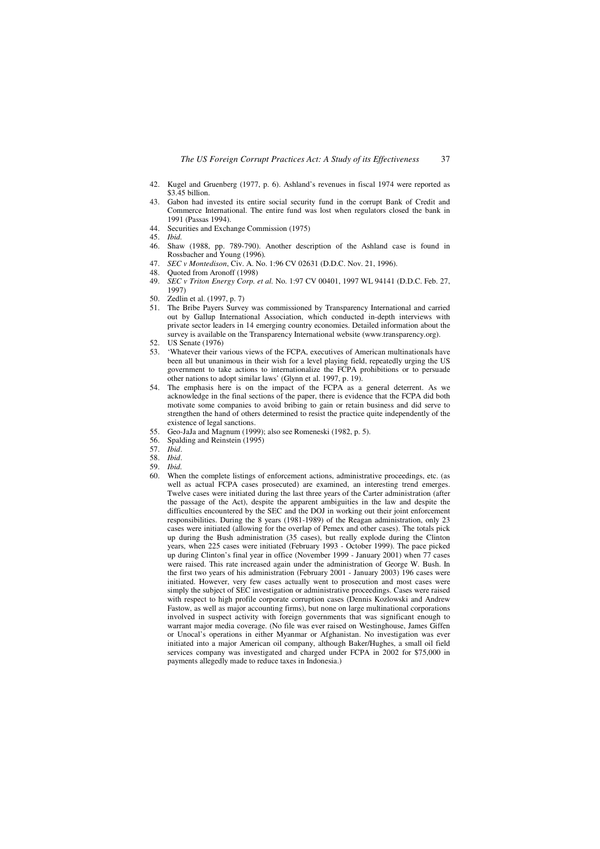- a 42. Kugel and Gruenberg (1977, p. 6). Ashland's revenues in fiscal 1974 were reported as \$3.45 billion.
- 43. Gabon had invested its entire social security fund in the corrupt Bank of Credit and Commerce International. The entire fund was lost when regulators closed the bank in 1991 (Passas 1994).
- 44. Securities and Exchange Commission (1975)
- 45. *Ibid.*
- Shaw (1988, pp. 789-790). Another description of the Ashland case is found in Rossbacher and Young (1996)*.*
- 47. *SEC v Montedison*, Civ. A. No. 1:96 CV 02631 (D.D.C. Nov. 21, 1996).
- 48. Quoted from Aronoff (1998)
- 49. *SEC v Triton Energy Corp. et al.* No. 1:97 CV 00401, 1997 WL 94141 (D.D.C. Feb. 27, 1997)
- 50. Zedlin et al. (1997, p. 7)
- 51. The Bribe Payers Survey was commissioned by Transparency International and carried out by Gallup International Association, which conducted in-depth interviews with private sector leaders in 14 emerging country economies. Detailed information about the survey is available on the Transparency International website (www.transparency.org).
- 52. US Senate (1976)
- 53. 'Whatever their various views of the FCPA, executives of American multinationals have been all but unanimous in their wish for a level playing field, repeatedly urging the US government to take actions to internationalize the FCPA prohibitions or to persuade other nations to adopt similar laws' (Glynn et al. 1997, p. 19).
- 54. The emphasis here is on the impact of the FCPA as a general deterrent. As we acknowledge in the final sections of the paper, there is evidence that the FCPA did both motivate some companies to avoid bribing to gain or retain business and did serve to strengthen the hand of others determined to resist the practice quite independently of the existence of legal sanctions.
- 55. Geo-JaJa and Magnum (1999); also see Romeneski (1982, p. 5).
- 56. Spalding and Reinstein (1995)<br>57. Ibid.
- 57. *Ibid*.
- 58. *Ibid*.
- 59. *Ibid.*
- When the complete listings of enforcement actions, administrative proceedings, etc. (as well as actual FCPA cases prosecuted) are examined, an interesting trend emerges. Twelve cases were initiated during the last three years of the Carter administration (after the passage of the Act), despite the apparent ambiguities in the law and despite the difficulties encountered by the SEC and the DOJ in working out their joint enforcement responsibilities. During the 8 years (1981-1989) of the Reagan administration, only 23 cases were initiated (allowing for the overlap of Pemex and other cases). The totals pick up during the Bush administration (35 cases), but really explode during the Clinton years, when 225 cases were initiated (February 1993 - October 1999). The pace picked up during Clinton's final year in office (November 1999 - January 2001) when 77 cases were raised. This rate increased again under the administration of George W. Bush. In the first two years of his administration (February 2001 - January 2003) 196 cases were initiated. However, very few cases actually went to prosecution and most cases were simply the subject of SEC investigation or administrative proceedings. Cases were raised with respect to high profile corporate corruption cases (Dennis Kozlowski and Andrew Fastow, as well as major accounting firms), but none on large multinational corporations involved in suspect activity with foreign governments that was significant enough to warrant major media coverage. (No file was ever raised on Westinghouse, James Giffen or Unocal's operations in either Myanmar or Afghanistan. No investigation was ever initiated into a major American oil company, although Baker/Hughes, a small oil field services company was investigated and charged under FCPA in 2002 for \$75,000 in payments allegedly made to reduce taxes in Indonesia.)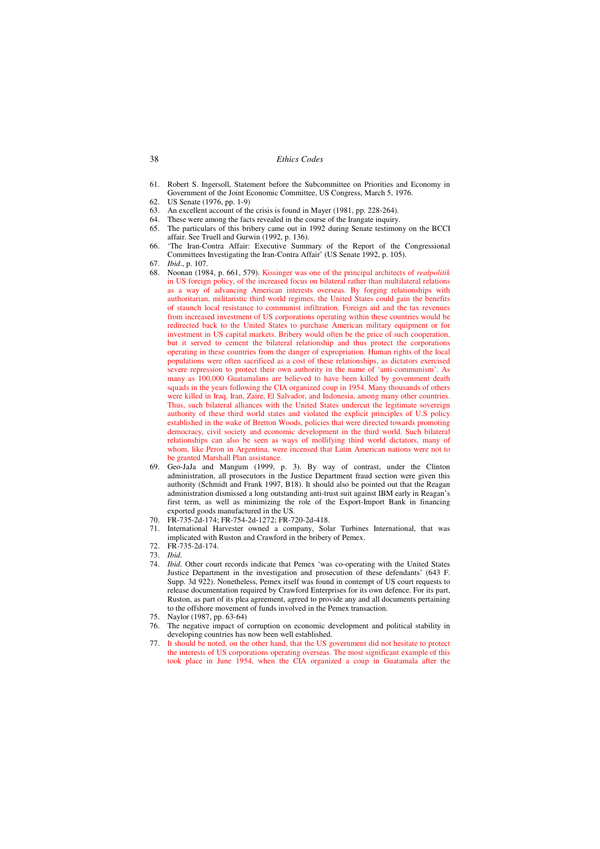- a 61. Robert S. Ingersoll, Statement before the Subcommittee on Priorities and Economy in Government of the Joint Economic Committee, US Congress, March 5, 1976.
- 62. US Senate (1976, pp. 1-9)
- 63. An excellent account of the crisis is found in Mayer (1981, pp. 228-264).
- 64. These were among the facts revealed in the course of the Irangate inquiry.
- 65. The particulars of this bribery came out in 1992 during Senate testimony on the BCCI affair. See Truell and Gurwin (1992, p. 136).
- 66. 'The Iran-Contra Affair: Executive Summary of the Report of the Congressional Committees Investigating the Iran-Contra Affair' (US Senate 1992, p. 105).
- 67. *Ibid*., p. 107.
- 68. Noonan (1984, p. 661, 579). Kissinger was one of the principal architects of *realpolitik* in US foreign policy, of the increased focus on bilateral rather than multilateral relations as a way of advancing American interests overseas. By forging relationships with authoritarian, militaristic third world regimes, the United States could gain the benefits of staunch local resistance to communist infiltration. Foreign aid and the tax revenues from increased investment of US corporations operating within these countries would be redirected back to the United States to purchase American military equipment or for investment in US capital markets. Bribery would often be the price of such cooperation, but it served to cement the bilateral relationship and thus protect the corporations operating in these countries from the danger of expropriation. Human rights of the local populations were often sacrificed as a cost of these relationships, as dictators exercised severe repression to protect their own authority in the name of 'anti-communism'. As many as 100,000 Guatamalans are believed to have been killed by government death squads in the years following the CIA organized coup in 1954. Many thousands of others were killed in Iraq, Iran, Zaire, El Salvador, and Indonesia, among many other countries. Thus, such bilateral alliances with the United States undercut the legitimate sovereign authority of these third world states and violated the explicit principles of U.S policy established in the wake of Bretton Woods, policies that were directed towards promoting democracy, civil society and economic development in the third world. Such bilateral relationships can also be seen as ways of mollifying third world dictators, many of whom, like Peron in Argentina, were incensed that Latin American nations were not to be granted Marshall Plan assistance.
- 69. Geo-JaJa and Mangum (1999, p. 3). By way of contrast, under the Clinton administration, all prosecutors in the Justice Department fraud section were given this authority (Schmidt and Frank 1997, B18). It should also be pointed out that the Reagan administration dismissed a long outstanding anti-trust suit against IBM early in Reagan's first term, as well as minimizing the role of the Export-Import Bank in financing exported goods manufactured in the US.
- 70. FR-735-2d-174; FR-754-2d-1272; FR-720-2d-418.
- 71. International Harvester owned a company, Solar Turbines International, that was implicated with Ruston and Crawford in the bribery of Pemex.
- 72. FR-735-2d-174.
- 73. *Ibid.*
- 74. *Ibid.* Other court records indicate that Pemex 'was co-operating with the United States Justice Department in the investigation and prosecution of these defendants' (643 F. Supp. 3d 922). Nonetheless, Pemex itself was found in contempt of US court requests to release documentation required by Crawford Enterprises for its own defence. For its part, Ruston, as part of its plea agreement, agreed to provide any and all documents pertaining to the offshore movement of funds involved in the Pemex transaction.
- 75. Naylor (1987, pp. 63-64)<br>76. The negative impact of
- The negative impact of corruption on economic development and political stability in developing countries has now been well established.
- 77. It should be noted, on the other hand, that the US government did not hesitate to protect the interests of US corporations operating overseas. The most significant example of this took place in June 1954, when the CIA organized a coup in Guatamala after the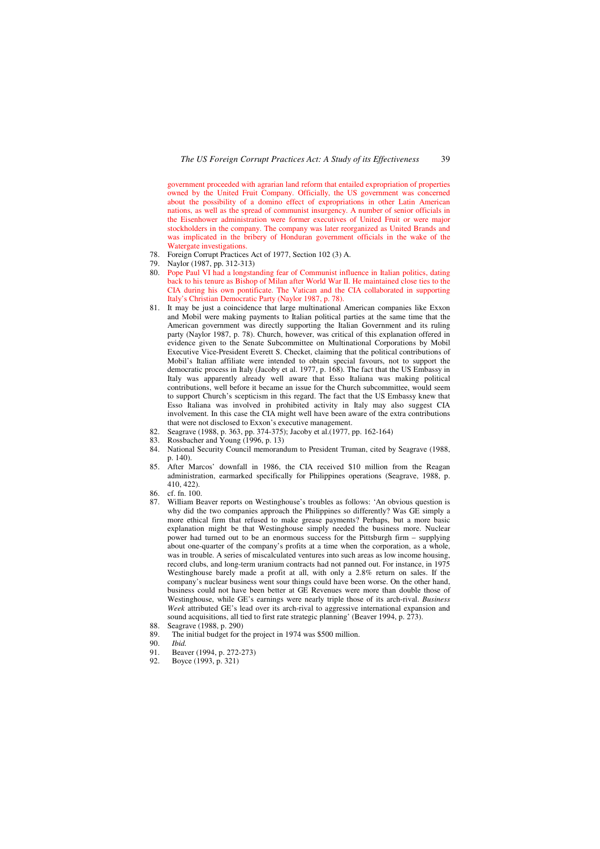government proceeded with agrarian land reform that entailed expropriation of properties owned by the United Fruit Company. Officially, the US government was concerned about the possibility of a domino effect of expropriations in other Latin American nations, as well as the spread of communist insurgency. A number of senior officials in the Eisenhower administration were former executives of United Fruit or were major stockholders in the company. The company was later reorganized as United Brands and was implicated in the bribery of Honduran government officials in the wake of the Watergate investigations.

- 78. Foreign Corrupt Practices Act of 1977, Section 102 (3) A.
- Naylor (1987, pp. 312-313)
- 80. Pope Paul VI had a longstanding fear of Communist influence in Italian politics, dating back to his tenure as Bishop of Milan after World War II. He maintained close ties to the CIA during his own pontificate. The Vatican and the CIA collaborated in supporting Italy's Christian Democratic Party (Naylor 1987, p. 78).
- 81. It may be just a coincidence that large multinational American companies like Exxon and Mobil were making payments to Italian political parties at the same time that the American government was directly supporting the Italian Government and its ruling party (Naylor 1987, p. 78). Church, however, was critical of this explanation offered in evidence given to the Senate Subcommittee on Multinational Corporations by Mobil Executive Vice-President Everett S. Checket, claiming that the political contributions of Mobil's Italian affiliate were intended to obtain special favours, not to support the democratic process in Italy (Jacoby et al. 1977, p. 168). The fact that the US Embassy in Italy was apparently already well aware that Esso Italiana was making political contributions, well before it became an issue for the Church subcommittee, would seem to support Church's scepticism in this regard. The fact that the US Embassy knew that Esso Italiana was involved in prohibited activity in Italy may also suggest CIA involvement. In this case the CIA might well have been aware of the extra contributions that were not disclosed to Exxon's executive management.
- 82. Seagrave (1988, p. 363, pp. 374-375); Jacoby et al.(1977, pp. 162-164)
- 83. Rossbacher and Young (1996, p. 13)
- 84. National Security Council memorandum to President Truman, cited by Seagrave (1988, p. 140).
- 85. After Marcos' downfall in 1986, the CIA received \$10 million from the Reagan administration, earmarked specifically for Philippines operations (Seagrave, 1988, p. 410, 422).
- 86. cf. fn. 100.
- 87. William Beaver reports on Westinghouse's troubles as follows: 'An obvious question is why did the two companies approach the Philippines so differently? Was GE simply a more ethical firm that refused to make grease payments? Perhaps, but a more basic explanation might be that Westinghouse simply needed the business more. Nuclear power had turned out to be an enormous success for the Pittsburgh firm – supplying about one-quarter of the company's profits at a time when the corporation, as a whole, was in trouble. A series of miscalculated ventures into such areas as low income housing, record clubs, and long-term uranium contracts had not panned out. For instance, in 1975 Westinghouse barely made a profit at all, with only a 2.8% return on sales. If the company's nuclear business went sour things could have been worse. On the other hand, business could not have been better at GE Revenues were more than double those of Westinghouse, while GE's earnings were nearly triple those of its arch-rival. *Business Week* attributed GE's lead over its arch-rival to aggressive international expansion and sound acquisitions, all tied to first rate strategic planning' (Beaver 1994, p. 273).
- 88. Seagrave (1988, p. 290)<br>89. The initial budget for the
- The initial budget for the project in 1974 was \$500 million.
- 90. *Ibid.*
- Beaver (1994, p. 272-273)
- 92. Boyce (1993, p. 321)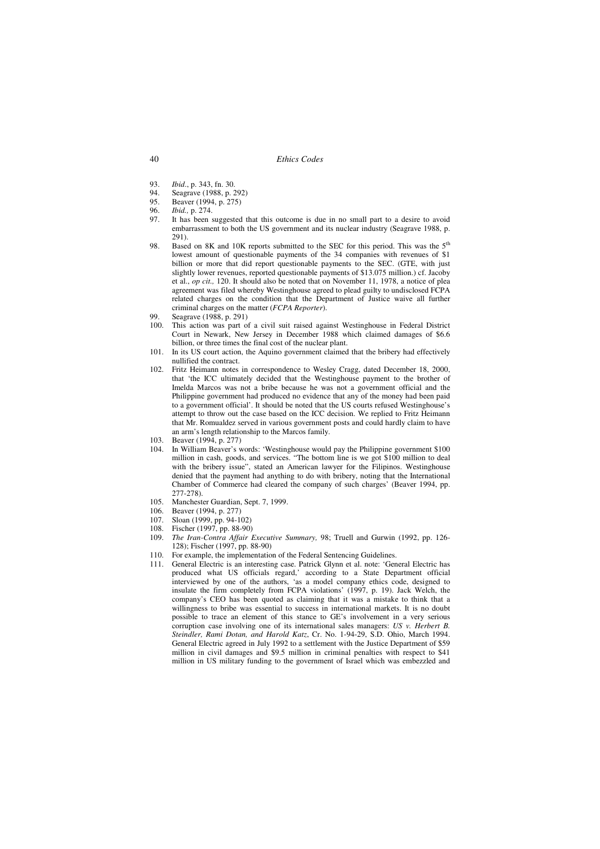- 93. 93. *Ibid*., p. 343, fn. 30.
- 94. Seagrave (1988, p. 292)<br>95. Beaver (1994, p. 275)
- Beaver (1994, p. 275)
- 96. *Ibid.,* p. 274.
- 97. It has been suggested that this outcome is due in no small part to a desire to avoid embarrassment to both the US government and its nuclear industry (Seagrave 1988, p. 291).
- 98. Based on 8K and 10K reports submitted to the SEC for this period. This was the 5<sup>th</sup> lowest amount of questionable payments of the 34 companies with revenues of \$1 billion or more that did report questionable payments to the SEC. (GTE, with just slightly lower revenues, reported questionable payments of \$13.075 million.) cf. Jacoby et al., *op cit.,* 120. It should also be noted that on November 11, 1978, a notice of plea agreement was filed whereby Westinghouse agreed to plead guilty to undisclosed FCPA related charges on the condition that the Department of Justice waive all further criminal charges on the matter (*FCPA Reporter*).
- 99. Seagrave (1988, p. 291)
- 100. This action was part of a civil suit raised against Westinghouse in Federal District Court in Newark, New Jersey in December 1988 which claimed damages of \$6.6 billion, or three times the final cost of the nuclear plant.
- 101. In its US court action, the Aquino government claimed that the bribery had effectively nullified the contract.
- 102. Fritz Heimann notes in correspondence to Wesley Cragg, dated December 18, 2000, that 'the ICC ultimately decided that the Westinghouse payment to the brother of Imelda Marcos was not a bribe because he was not a government official and the Philippine government had produced no evidence that any of the money had been paid to a government official'. It should be noted that the US courts refused Westinghouse's attempt to throw out the case based on the ICC decision. We replied to Fritz Heimann that Mr. Romualdez served in various government posts and could hardly claim to have an arm's length relationship to the Marcos family.
- 103. Beaver (1994, p. 277)
- 104. In William Beaver's words: 'Westinghouse would pay the Philippine government \$100 million in cash, goods, and services. "The bottom line is we got \$100 million to deal with the bribery issue", stated an American lawyer for the Filipinos. Westinghouse denied that the payment had anything to do with bribery, noting that the International Chamber of Commerce had cleared the company of such charges' (Beaver 1994, pp. 277-278).
- 105. Manchester Guardian, Sept. 7, 1999.<br>106. Beaver (1994, p. 277)
- Beaver (1994, p. 277)
- 107. Sloan (1999, pp. 94-102)
- 108. Fischer (1997, pp. 88-90)<br>109 The Iran-Contra Affair I
- 109. *The Iran-Contra Affair Executive Summary,* 98; Truell and Gurwin (1992, pp. 126- 128); Fischer (1997, pp. 88-90)
- 110. For example, the implementation of the Federal Sentencing Guidelines.
- 111. General Electric is an interesting case. Patrick Glynn et al. note: 'General Electric has produced what US officials regard,' according to a State Department official interviewed by one of the authors, 'as a model company ethics code, designed to insulate the firm completely from FCPA violations' (1997, p. 19). Jack Welch, the company's CEO has been quoted as claiming that it was a mistake to think that a willingness to bribe was essential to success in international markets. It is no doubt possible to trace an element of this stance to GE's involvement in a very serious corruption case involving one of its international sales managers: *US v. Herbert B. Steindler, Rami Dotan, and Harold Katz*, Cr. No. 1-94-29, S.D. Ohio, March 1994. General Electric agreed in July 1992 to a settlement with the Justice Department of \$59 million in civil damages and \$9.5 million in criminal penalties with respect to \$41 million in US military funding to the government of Israel which was embezzled and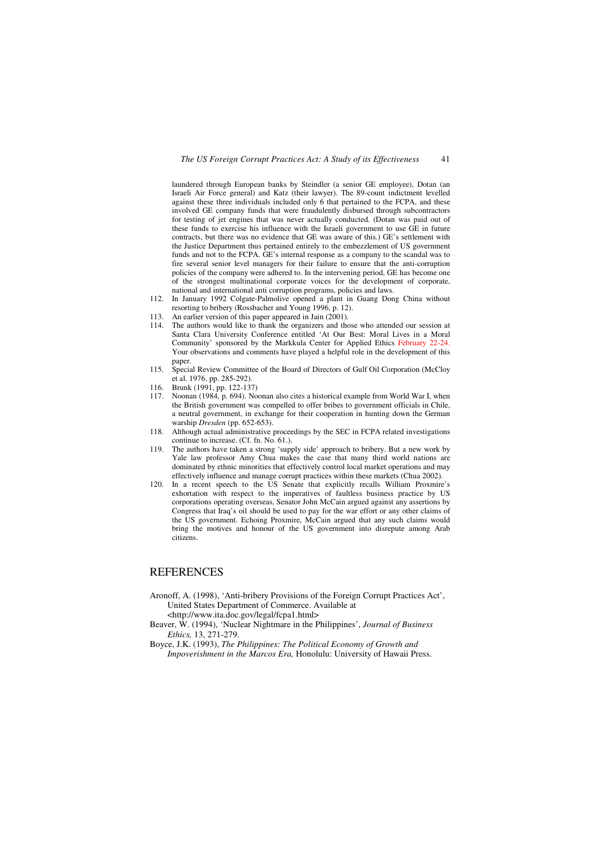laundered through European banks by Steindler (a senior GE employee), Dotan (an Israeli Air Force general) and Katz (their lawyer). The 89-count indictment levelled against these three individuals included only 6 that pertained to the FCPA, and these involved GE company funds that were fraudulently disbursed through subcontractors for testing of jet engines that was never actually conducted. (Dotan was paid out of these funds to exercise his influence with the Israeli government to use GE in future contracts, but there was no evidence that GE was aware of this.) GE's settlement with the Justice Department thus pertained entirely to the embezzlement of US government funds and not to the FCPA. GE's internal response as a company to the scandal was to fire several senior level managers for their failure to ensure that the anti-corruption policies of the company were adhered to. In the intervening period, GE has become one of the strongest multinational corporate voices for the development of corporate, national and international anti corruption programs, policies and laws.

- 112. In January 1992 Colgate-Palmolive opened a plant in Guang Dong China without resorting to bribery (Rossbacher and Young 1996, p. 12).
- 113. An earlier version of this paper appeared in Jain (2001).
- 114. The authors would like to thank the organizers and those who attended our session at Santa Clara University Conference entitled 'At Our Best: Moral Lives in a Moral Community' sponsored by the Markkula Center for Applied Ethics February 22-24. Your observations and comments have played a helpful role in the development of this paper.
- 115. Special Review Committee of the Board of Directors of Gulf Oil Corporation (McCloy et al. 1976, pp. 285-292).
- 116. Brunk (1991, pp. 122-137)
- 117. Noonan (1984, p. 694). Noonan also cites a historical example from World War I, when the British government was compelled to offer bribes to government officials in Chile, a neutral government, in exchange for their cooperation in hunting down the German warship *Dresden* (pp. 652-653).
- 118. Although actual administrative proceedings by the SEC in FCPA related investigations continue to increase. (Cf. fn. No. 61.).
- 119. The authors have taken a strong 'supply side' approach to bribery. But a new work by Yale law professor Amy Chua makes the case that many third world nations are dominated by ethnic minorities that effectively control local market operations and may effectively influence and manage corrupt practices within these markets (Chua 2002)*.*
- 120. In a recent speech to the US Senate that explicitly recalls William Proxmire's exhortation with respect to the imperatives of faultless business practice by US corporations operating overseas, Senator John McCain argued against any assertions by Congress that Iraq's oil should be used to pay for the war effort or any other claims of the US government. Echoing Proxmire, McCain argued that any such claims would bring the motives and honour of the US government into disrepute among Arab citizens.

# **REFERENCES**

- Aronoff, A. (1998), 'Anti-bribery Provisions of the Foreign Corrupt Practices Act', United States Department of Commerce. Available at <http://www.ita.doc.gov/legal/fcpa1.html>
- Beaver, W. (1994), 'Nuclear Nightmare in the Philippines', *Journal of Business*
	- *Ethics,* 13, 271-279.
- Boyce, J.K. (1993), *The Philippines: The Political Economy of Growth and Impoverishment in the Marcos Era,* Honolulu: University of Hawaii Press.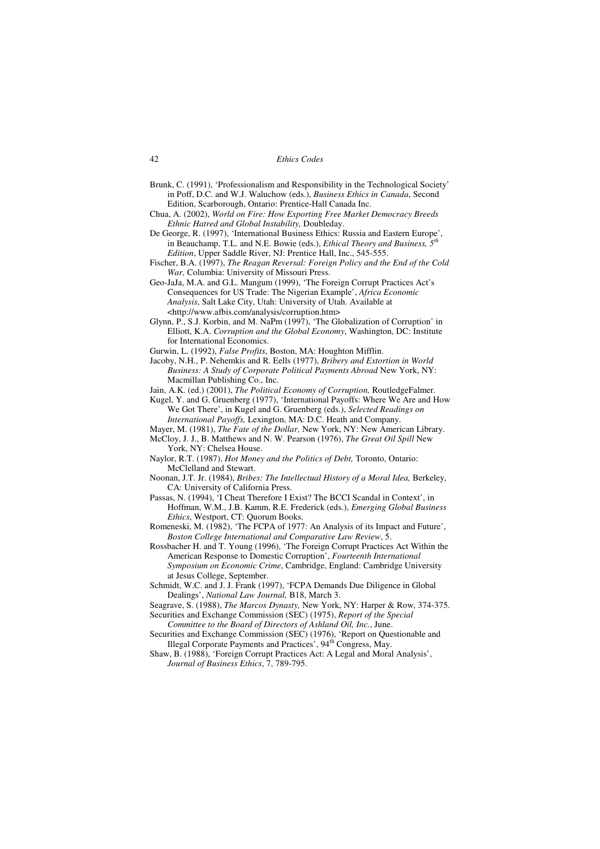| 42 | <b>Ethics Codes</b> |  |
|----|---------------------|--|
|    |                     |  |

- Brunk, C. (1991), 'Professionalism and Responsibility in the Technological Society' in Poff, D.C. and W.J. Waluchow (eds.), *Business Ethics in Canada*, Second Edition, Scarborough, Ontario: Prentice-Hall Canada Inc.
- Chua, A. (2002), *World on Fire: How Exporting Free Market Democracy Breeds Ethnic Hatred and Global Instability,* Doubleday.

De George, R. (1997), 'International Business Ethics: Russia and Eastern Europe', in Beauchamp, T.L. and N.E. Bowie (eds.), *Ethical Theory and Business, 5 th Edition*, Upper Saddle River, NJ: Prentice Hall, Inc., 545-555.

- Fischer, B.A. (1997), *The Reagan Reversal: Foreign Policy and the End of the Cold War,* Columbia: University of Missouri Press.
- Geo-JaJa, M.A. and G.L. Mangum (1999), 'The Foreign Corrupt Practices Act's Consequences for US Trade: The Nigerian Example', *Africa Economic Analysis*, Salt Lake City, Utah: University of Utah. Available at <http://www.afbis.com/analysis/corruption.htm>
- Glynn, P., S.J. Korbin, and M. NaΡm (1997), 'The Globalization of Corruption' in Elliott, K.A. *Corruption and the Global Economy*, Washington, DC: Institute for International Economics.
- Gurwin, L. (1992), *False Profits*, Boston, MA: Houghton Mifflin.
- Jacoby, N.H., P. Nehemkis and R. Eells (1977), *Bribery and Extortion in World Business: A Study of Corporate Political Payments Abroad* New York, NY: Macmillan Publishing Co., Inc.

Jain, A.K. (ed.) (2001), *The Political Economy of Corruption,* RoutledgeFalmer.

- Kugel, Y. and G. Gruenberg (1977), 'International Payoffs: Where We Are and How We Got There', in Kugel and G. Gruenberg (eds.), *Selected Readings on International Payoffs,* Lexington, MA: D.C. Heath and Company.
- Mayer, M. (1981), *The Fate of the Dollar,* New York, NY: New American Library.
- McCloy, J. J., B. Matthews and N. W. Pearson (1976), *The Great Oil Spill* New York, NY: Chelsea House.
- Naylor, R.T. (1987), *Hot Money and the Politics of Debt,* Toronto, Ontario: McClelland and Stewart.
- Noonan, J.T. Jr. (1984), *Bribes: The Intellectual History of a Moral Idea,* Berkeley, CA: University of California Press.
- Passas, N. (1994), 'I Cheat Therefore I Exist? The BCCI Scandal in Context', in Hoffman, W.M., J.B. Kamm, R.E. Frederick (eds.), *Emerging Global Business Ethics*, Westport, CT: Quorum Books.
- Romeneski, M. (1982), 'The FCPA of 1977: An Analysis of its Impact and Future', *Boston College International and Comparative Law Review*, 5.
- Rossbacher H. and T. Young (1996), 'The Foreign Corrupt Practices Act Within the American Response to Domestic Corruption', *Fourteenth International Symposium on Economic Crime*, Cambridge, England: Cambridge University at Jesus College, September.
- Schmidt, W.C. and J. J. Frank (1997), 'FCPA Demands Due Diligence in Global Dealings', *National Law Journal,* B18, March 3.
- Seagrave, S. (1988), *The Marcos Dynasty,* New York, NY: Harper & Row, 374-375.
- Securities and Exchange Commission (SEC) (1975), *Report of the Special Committee to the Board of Directors of Ashland Oil, Inc.*, June.
- Securities and Exchange Commission (SEC) (1976), 'Report on Questionable and Illegal Corporate Payments and Practices', 94<sup>th</sup> Congress, May.
- Shaw, B. (1988), 'Foreign Corrupt Practices Act: A Legal and Moral Analysis', *Journal of Business Ethics*, 7, 789-795.